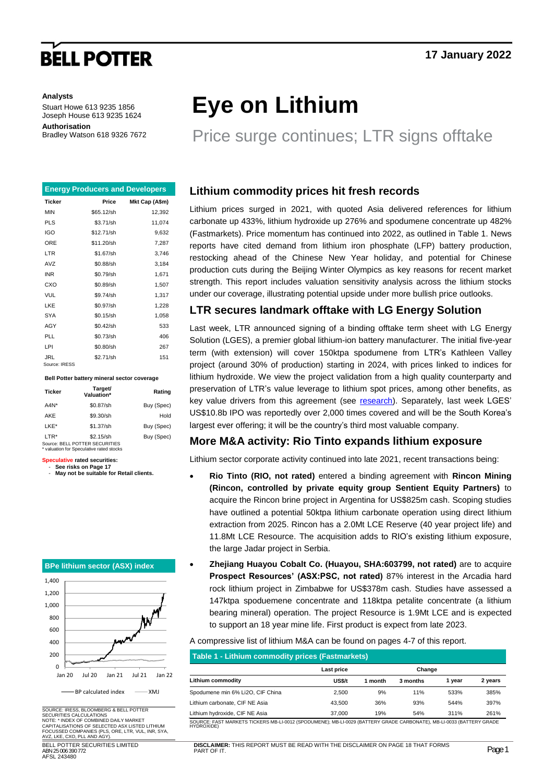# **BELL POTTER**

#### **Analysts**

Stuart Howe 613 9235 1856 Joseph House 613 9235 1624 **Authorisation** Bradley Watson 618 9326 7672

|                      | <b>Energy Producers and Developers</b> |                |
|----------------------|----------------------------------------|----------------|
| <b>Ticker</b>        | Price                                  | Mkt Cap (A\$m) |
| <b>MIN</b>           | \$65.12/sh                             | 12,392         |
| <b>PLS</b>           | \$3.71/sh                              | 11,074         |
| IGO                  | \$12.71/sh                             | 9,632          |
| ORE                  | \$11.20/sh                             | 7,287          |
| LTR                  | \$1.67/sh                              | 3,746          |
| AVZ                  | \$0.88/sh                              | 3,184          |
| <b>INR</b>           | \$0.79/sh                              | 1,671          |
| CXO                  | \$0.89/sh                              | 1,507          |
| VUL                  | \$9.74/sh                              | 1,317          |
| LKE                  | \$0.97/sh                              | 1,228          |
| <b>SYA</b>           | \$0.15/sh                              | 1,058          |
| AGY                  | $$0.42$ /sh                            | 533            |
| PLL                  | \$0.73/sh                              | 406            |
| LPI                  | \$0.80/sh                              | 267            |
| JRL<br>Source: IRESS | \$2.71/sh                              | 151            |

#### **Bell Potter battery mineral sector coverage**

| <b>Ticker</b> | Target/<br>Valuation*                       | Rating     |
|---------------|---------------------------------------------|------------|
| $AAN^*$       | \$0.87/sh                                   | Buy (Spec) |
| AKE           | \$9.30/sh                                   | Hold       |
| LKE*          | \$1.37/sh                                   | Buy (Spec) |
| LTR*          | \$2.15/sh<br>Source: BELL POTTER SECURITIES | Buy (Spec) |

Source: BELL POTTER SECURITIES \* valuation for Speculative rated stocks

#### **Speculative rated securities:** See risks on Page 17

- **May not be suitable for Retail clients.**

#### **BPe lithium sector (ASX) index**



SOURCE: IRESS, BLOOMBERG & BELL POTTER SECURITIES CALCULATIONS NOTE: \* INDEX OF COMBINED DAILY MARKET CAPITALISATIONS OF SELECTED ASX LISTED LITHIUM FOCUSSED COMPANIES (PLS, ORE, LTR, VUL, INR, SYA, AVZ, LKE, CXO, PLL AND AGY). BELL POTTER SECURITIES LIMITED

ABN 25 006 390 772 AFSL 243480

# **Eye on Lithium**

## Price surge continues; LTR signs offtake

### **Lithium commodity prices hit fresh records**

Lithium prices surged in 2021, with quoted Asia delivered references for lithium carbonate up 433%, lithium hydroxide up 276% and spodumene concentrate up 482% (Fastmarkets). Price momentum has continued into 2022, as outlined in Table 1. News reports have cited demand from lithium iron phosphate (LFP) battery production, restocking ahead of the Chinese New Year holiday, and potential for Chinese production cuts during the Beijing Winter Olympics as key reasons for recent market strength. This report includes valuation sensitivity analysis across the lithium stocks under our coverage, illustrating potential upside under more bullish price outlooks.

### **LTR secures landmark offtake with LG Energy Solution**

Last week, LTR announced signing of a binding offtake term sheet with LG Energy Solution (LGES), a premier global lithium-ion battery manufacturer. The initial five-year term (with extension) will cover 150ktpa spodumene from LTR's Kathleen Valley project (around 30% of production) starting in 2024, with prices linked to indices for lithium hydroxide. We view the project validation from a high quality counterparty and preservation of LTR's value leverage to lithium spot prices, among other benefits, as key value drivers from this agreement (see [research\)](https://onlineresearch.bellpotter.com.au/fileGet.aspx?guid=7f958754-1bbf-4cf1-ab49-939c32079862). Separately, last week LGES' US\$10.8b IPO was reportedly over 2,000 times covered and will be the South Korea's largest ever offering; it will be the country's third most valuable company.

### **More M&A activity: Rio Tinto expands lithium exposure**

Lithium sector corporate activity continued into late 2021, recent transactions being:

- **Rio Tinto (RIO, not rated)** entered a binding agreement with **Rincon Mining (Rincon, controlled by private equity group Sentient Equity Partners)** to acquire the Rincon brine project in Argentina for US\$825m cash. Scoping studies have outlined a potential 50ktpa lithium carbonate operation using direct lithium extraction from 2025. Rincon has a 2.0Mt LCE Reserve (40 year project life) and 11.8Mt LCE Resource. The acquisition adds to RIO's existing lithium exposure, the large Jadar project in Serbia.
- **Zhejiang Huayou Cobalt Co. (Huayou, SHA:603799, not rated)** are to acquire **Prospect Resources' (ASX:PSC, not rated)** 87% interest in the Arcadia hard rock lithium project in Zimbabwe for US\$378m cash. Studies have assessed a 147ktpa spoduemene concentrate and 118ktpa petalite concentrate (a lithium bearing mineral) operation. The project Resource is 1.9Mt LCE and is expected to support an 18 year mine life. First product is expect from late 2023.

A compressive list of lithium M&A can be found on pages 4-7 of this report.

|                                  | Last price |         |          | Change |         |  |
|----------------------------------|------------|---------|----------|--------|---------|--|
| <b>Lithium commodity</b>         | US\$/t     | 1 month | 3 months | 1 vear | 2 years |  |
| Spodumene min 6% Li2O, CIF China | 2.500      | 9%      | 11%      | 533%   | 385%    |  |
| Lithium carbonate. CIF NE Asia   | 43.500     | 36%     | 93%      | 544%   | 397%    |  |
| Lithium hydroxide, CIF NE Asia   | 37,000     | 19%     | 54%      | 311%   | 261%    |  |

**DISCLAIMER:** THIS REPORT MUST BE READ WITH THE DISCLAIMER ON PAGE 18 THAT FORMS Page **1**<br>PART OF IT. Page **1**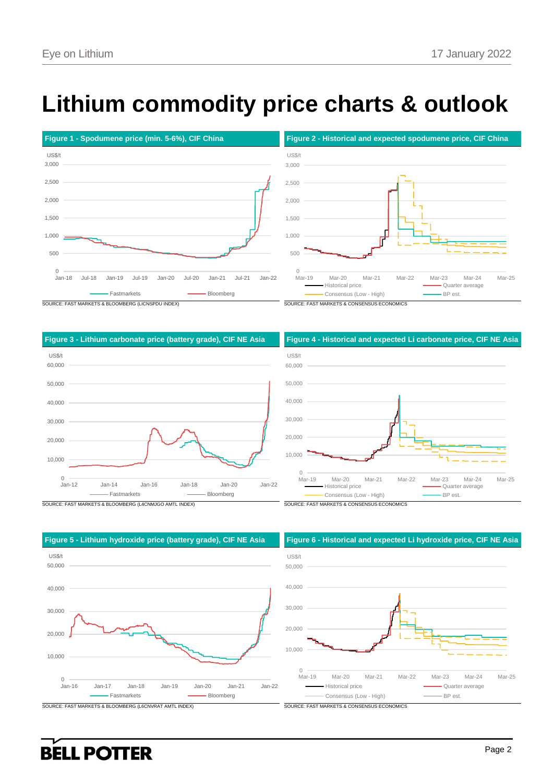# **Lithium commodity price charts & outlook**









 $0$ <br>Jan-16 10,000 20,000 30,000 40,000 50,000 Jan-16 Jan-17 Jan-18 Jan-19 Jan-20 Jan-21 Jan-22 US\$/t Fastmarkets **Bloomberg** 

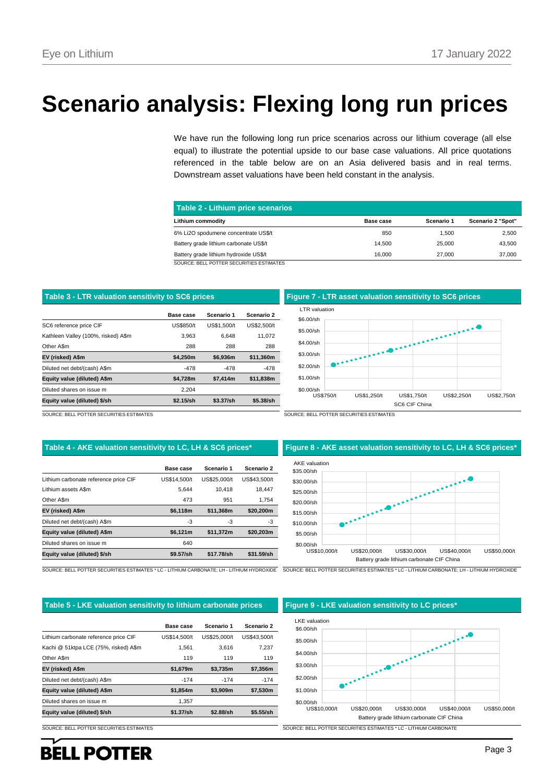# **Scenario analysis: Flexing long run prices**

We have run the following long run price scenarios across our lithium coverage (all else equal) to illustrate the potential upside to our base case valuations. All price quotations referenced in the table below are on an Asia delivered basis and in real terms. Downstream asset valuations have been held constant in the analysis.

| Table 2 - Lithium price scenarios        |           |            |                   |  |  |  |  |  |  |  |
|------------------------------------------|-----------|------------|-------------------|--|--|--|--|--|--|--|
| Lithium commodity                        | Base case | Scenario 1 | Scenario 2 "Spot" |  |  |  |  |  |  |  |
| 6% Li2O spodumene concentrate US\$/t     | 850       | 1.500      | 2,500             |  |  |  |  |  |  |  |
| Battery grade lithium carbonate US\$/t   | 14.500    | 25,000     | 43.500            |  |  |  |  |  |  |  |
| Battery grade lithium hydroxide US\$/t   | 16.000    | 27,000     | 37,000            |  |  |  |  |  |  |  |
| SOURCE: BELL POTTER SECURITIES ESTIMATES |           |            |                   |  |  |  |  |  |  |  |

|                                     | Base case        | Scenario 1  | Scenario 2  |
|-------------------------------------|------------------|-------------|-------------|
| SC6 reference price CIF             | <b>US\$850/t</b> | US\$1.500/t | US\$2.500/t |
| Kathleen Valley (100%, risked) A\$m | 3.963            | 6.648       | 11.072      |
| Other A\$m                          | 288              | 288         | 288         |
| EV (risked) A\$m                    | \$4.250m         | \$6.936m    | \$11.360m   |
| Diluted net debt/(cash) A\$m        | $-478$           | -478        | $-478$      |
| Equity value (diluted) A\$m         | \$4.728m         | \$7,414m    | \$11,838m   |
| Diluted shares on issue m           | 2,204            |             |             |
| Equity value (diluted) \$/sh        | \$2.15/sh        | \$3.37/sh   | \$5.38/sh   |



SOURCE: BELL POTTER SECURITIES ESTIMATES SOURCE: BELL POTTER SECURITIES ESTIMATES

|                                       | Base case    | Scenario 1   | Scenario 2   |
|---------------------------------------|--------------|--------------|--------------|
| Lithium carbonate reference price CIF | US\$14.500/t | US\$25.000/t | US\$43.500/t |
| Lithium assets A\$m                   | 5.644        | 10.418       | 18.447       |
| Other A\$m                            | 473          | 951          | 1.754        |
| EV (risked) A\$m                      | \$6,118m     | \$11,368m    | \$20,200m    |
| Diluted net debt/(cash) A\$m          | -3           | -3           | -3           |
| Equity value (diluted) A\$m           | \$6.121m     | \$11,372m    | \$20.203m    |
| Diluted shares on issue m             | 640          |              |              |
| Equity value (diluted) \$/sh          | \$9.57/sh    | \$17.78/sh   | \$31.59/sh   |

#### **Table 4 - AKE valuation sensitivity to LC, LH & SC6 prices\* Figure 8 - AKE asset valuation sensitivity to LC, LH & SC6 prices\***



#### **Table 5 - LKE valuation sensitivity to lithium carbonate prices Figure 9 - LKE valuation sensitivity to LC prices\***

|                                       | Base case    | Scenario 1   | Scenario 2   |
|---------------------------------------|--------------|--------------|--------------|
| Lithium carbonate reference price CIF | US\$14,500/t | US\$25,000/t | US\$43.500/t |
| Kachi @ 51ktpa LCE (75%, risked) A\$m | 1.561        | 3.616        | 7.237        |
| Other A\$m                            | 119          | 119          | 119          |
| EV (risked) A\$m                      | \$1.679m     | \$3.735m     | \$7.356m     |
| Diluted net debt/(cash) A\$m          | $-174$       | $-174$       | $-174$       |
| Equity value (diluted) A\$m           | \$1.854m     | \$3,909m     | \$7.530m     |
| Diluted shares on issue m             | 1.357        |              |              |
| Equity value (diluted) \$/sh          | \$1.37/sh    | \$2.88/sh    | \$5.55/sh    |

**BELL POTTER** 

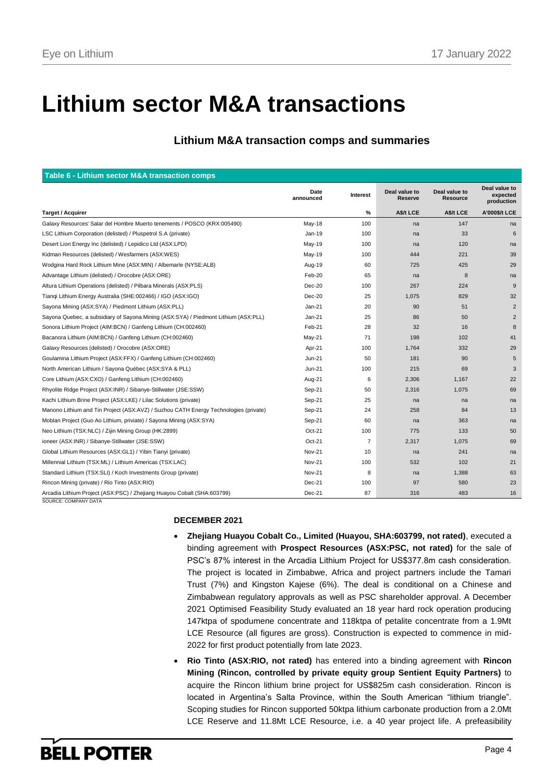# **Lithium sector M&A transactions**

## **Lithium M&A transaction comps and summaries**

|                                                                                                 | Date<br>announced | Interest       | Deal value to<br>Reserve | Deal value to<br>Resource | Deal value to<br>expected |
|-------------------------------------------------------------------------------------------------|-------------------|----------------|--------------------------|---------------------------|---------------------------|
|                                                                                                 |                   |                |                          |                           | production                |
| <b>Target / Acquirer</b>                                                                        |                   | $\%$           | <b>AS/t LCE</b>          | <b>AS/t LCE</b>           | <b>A'000\$/t LCE</b>      |
| Galaxy Resources' Salar del Hombre Muerto tenements / POSCO (KRX:005490)                        | May-18            | 100            | na                       | 147                       | na                        |
| LSC Lithium Corporation (delisted) / Pluspetrol S.A (private)                                   | Jan-19            | 100            | na                       | 33                        | 6                         |
| Desert Lion Energy Inc (delisted) / Lepidico Ltd (ASX:LPD)                                      | May-19            | 100            | na                       | 120                       | na                        |
| Kidman Resources (delisted) / Wesfarmers (ASX:WES)                                              | May-19            | 100            | 444                      | 221                       | 39                        |
| Wodgina Hard Rock Lithium Mine (ASX:MIN) / Albemarle (NYSE:ALB)                                 | Aug-19            | 60             | 725                      | 425                       | 29                        |
| Advantage Lithium (delisted) / Orocobre (ASX:ORE)                                               | Feb-20            | 65             | na                       | 8                         | na                        |
| Altura Lithium Operations (delisted) / Pilbara Minerals (ASX:PLS)                               | $Dec-20$          | 100            | 267                      | 224                       | 9                         |
| Tiangi Lithium Energy Australia (SHE:002466) / IGO (ASX:IGO)                                    | Dec-20            | 25             | 1,075                    | 829                       | 32                        |
| Sayona Mining (ASX:SYA) / Piedmont Lithium (ASX:PLL)                                            | $Jan-21$          | 20             | 90                       | 51                        | 2                         |
| Sayona Quebec, a subsidiary of Sayona Mining (ASX:SYA) / Piedmont Lithium (ASX:PLL)             | Jan-21            | 25             | 86                       | 50                        | $\overline{2}$            |
| Sonora Lithium Project (AIM:BCN) / Ganfeng Lithium (CH:002460)                                  | Feb-21            | 28             | 32                       | 16                        | 8                         |
| Bacanora Lithium (AIM:BCN) / Ganfeng Lithium (CH:002460)                                        | $May-21$          | 71             | 198                      | 102                       | 41                        |
| Galaxy Resources (delisted) / Orocobre (ASX:ORE)                                                | Apr-21            | 100            | 1,764                    | 332                       | 29                        |
| Goulamina Lithium Project (ASX:FFX) / Ganfeng Lithium (CH:002460)                               | Jun-21            | 50             | 181                      | 90                        | 5                         |
| North American Lithium / Sayona Québec (ASX:SYA & PLL)                                          | Jun-21            | 100            | 215                      | 69                        | 3                         |
| Core Lithium (ASX:CXO) / Ganfeng Lithium (CH:002460)                                            | Aug-21            | 6              | 2,306                    | 1,167                     | 22                        |
| Rhyolite Ridge Project (ASX:INR) / Sibanye-Stillwater (JSE:SSW)                                 | Sep-21            | 50             | 2,316                    | 1,075                     | 69                        |
| Kachi Lithium Brine Project (ASX:LKE) / Lilac Solutions (private)                               | Sep-21            | 25             | na                       | na                        | na                        |
| Manono Lithium and Tin Project (ASX:AVZ) / Suzhou CATH Energy Technologies (private)            | Sep-21            | 24             | 258                      | 84                        | 13                        |
| Moblan Project (Guo Ao Lithium, priviate) / Sayona Mining (ASX:SYA)                             | Sep-21            | 60             | na                       | 363                       | na                        |
| Neo Lithium (TSX:NLC) / Zijin Mining Group (HK:2899)                                            | $Oct-21$          | 100            | 775                      | 133                       | 50                        |
| ioneer (ASX:INR) / Sibanye-Stillwater (JSE:SSW)                                                 | $Oct-21$          | $\overline{7}$ | 2,317                    | 1,075                     | 69                        |
| Global Lithium Resources (ASX:GL1) / Yibin Tianyi (private)                                     | <b>Nov-21</b>     | 10             | na                       | 241                       | na                        |
| Millennial Lithium (TSX:ML) / Lithium Americas (TSX:LAC)                                        | <b>Nov-21</b>     | 100            | 532                      | 102                       | 21                        |
| Standard Lithium (TSX:SLI) / Koch Investments Group (private)                                   | <b>Nov-21</b>     | 8              | na                       | 1,388                     | 63                        |
| Rincon Mining (private) / Rio Tinto (ASX:RIO)                                                   | Dec-21            | 100            | 97                       | 580                       | 23                        |
| Arcadia Lithium Project (ASX:PSC) / Zhejiang Huayou Cobalt (SHA:603799)<br>SOURCE: COMPANY DATA | Dec-21            | 87             | 316                      | 483                       | 16                        |

### **DECEMBER 2021**

- **Zhejiang Huayou Cobalt Co., Limited (Huayou, SHA:603799, not rated)**, executed a binding agreement with **Prospect Resources (ASX:PSC, not rated)** for the sale of PSC's 87% interest in the Arcadia Lithium Project for US\$377.8m cash consideration. The project is located in Zimbabwe, Africa and project partners include the Tamari Trust (7%) and Kingston Kajese (6%). The deal is conditional on a Chinese and Zimbabwean regulatory approvals as well as PSC shareholder approval. A December 2021 Optimised Feasibility Study evaluated an 18 year hard rock operation producing 147ktpa of spodumene concentrate and 118ktpa of petalite concentrate from a 1.9Mt LCE Resource (all figures are gross). Construction is expected to commence in mid-2022 for first product potentially from late 2023.
- **Rio Tinto (ASX:RIO, not rated)** has entered into a binding agreement with **Rincon Mining (Rincon, controlled by private equity group Sentient Equity Partners)** to acquire the Rincon lithium brine project for US\$825m cash consideration. Rincon is located in Argentina's Salta Province, within the South American "lithium triangle". Scoping studies for Rincon supported 50ktpa lithium carbonate production from a 2.0Mt LCE Reserve and 11.8Mt LCE Resource, i.e. a 40 year project life. A prefeasibility

# **BELL POTTER**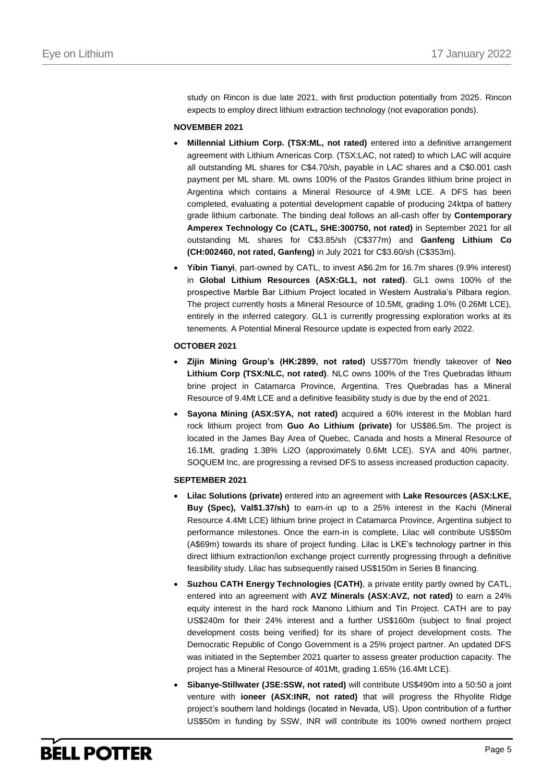study on Rincon is due late 2021, with first production potentially from 2025. Rincon expects to employ direct lithium extraction technology (not evaporation ponds).

### **NOVEMBER 2021**

- **Millennial Lithium Corp. (TSX:ML, not rated)** entered into a definitive arrangement agreement with Lithium Americas Corp. (TSX:LAC, not rated) to which LAC will acquire all outstanding ML shares for C\$4.70/sh, payable in LAC shares and a C\$0.001 cash payment per ML share. ML owns 100% of the Pastos Grandes lithium brine project in Argentina which contains a Mineral Resource of 4.9Mt LCE. A DFS has been completed, evaluating a potential development capable of producing 24ktpa of battery grade lithium carbonate. The binding deal follows an all-cash offer by **Contemporary Amperex Technology Co (CATL, SHE:300750, not rated)** in September 2021 for all outstanding ML shares for C\$3.85/sh (C\$377m) and **Ganfeng Lithium Co (CH:002460, not rated, Ganfeng)** in July 2021 for C\$3.60/sh (C\$353m).
- **Yibin Tianyi**, part-owned by CATL, to invest A\$6.2m for 16.7m shares (9.9% interest) in **Global Lithium Resources (ASX:GL1, not rated)**. GL1 owns 100% of the prospective Marble Bar Lithium Project located in Western Australia's Pilbara region. The project currently hosts a Mineral Resource of 10.5Mt, grading 1.0% (0.26Mt LCE), entirely in the inferred category. GL1 is currently progressing exploration works at its tenements. A Potential Mineral Resource update is expected from early 2022.

### **OCTOBER 2021**

- **Zijin Mining Group's (HK:2899, not rated)** US\$770m friendly takeover of **Neo Lithium Corp (TSX:NLC, not rated)**. NLC owns 100% of the Tres Quebradas lithium brine project in Catamarca Province, Argentina. Tres Quebradas has a Mineral Resource of 9.4Mt LCE and a definitive feasibility study is due by the end of 2021.
- **Sayona Mining (ASX:SYA, not rated)** acquired a 60% interest in the Moblan hard rock lithium project from **Guo Ao Lithium (private)** for US\$86.5m. The project is located in the James Bay Area of Quebec, Canada and hosts a Mineral Resource of 16.1Mt, grading 1.38% Li2O (approximately 0.6Mt LCE). SYA and 40% partner, SOQUEM Inc, are progressing a revised DFS to assess increased production capacity.

### **SEPTEMBER 2021**

- **Lilac Solutions (private)** entered into an agreement with **Lake Resources (ASX:LKE, Buy (Spec), Val\$1.37/sh)** to earn-in up to a 25% interest in the Kachi (Mineral Resource 4.4Mt LCE) lithium brine project in Catamarca Province, Argentina subject to performance milestones. Once the earn-in is complete, Lilac will contribute US\$50m (A\$69m) towards its share of project funding. Lilac is LKE's technology partner in this direct lithium extraction/ion exchange project currently progressing through a definitive feasibility study. Lilac has subsequently raised US\$150m in Series B financing.
- **Suzhou CATH Energy Technologies (CATH)**, a private entity partly owned by CATL, entered into an agreement with **AVZ Minerals (ASX:AVZ, not rated)** to earn a 24% equity interest in the hard rock Manono Lithium and Tin Project. CATH are to pay US\$240m for their 24% interest and a further US\$160m (subject to final project development costs being verified) for its share of project development costs. The Democratic Republic of Congo Government is a 25% project partner. An updated DFS was initiated in the September 2021 quarter to assess greater production capacity. The project has a Mineral Resource of 401Mt, grading 1.65% (16.4Mt LCE).
- **Sibanye-Stillwater (JSE:SSW, not rated)** will contribute US\$490m into a 50:50 a joint venture with **ioneer (ASX:INR, not rated)** that will progress the Rhyolite Ridge project's southern land holdings (located in Nevada, US). Upon contribution of a further US\$50m in funding by SSW, INR will contribute its 100% owned northern project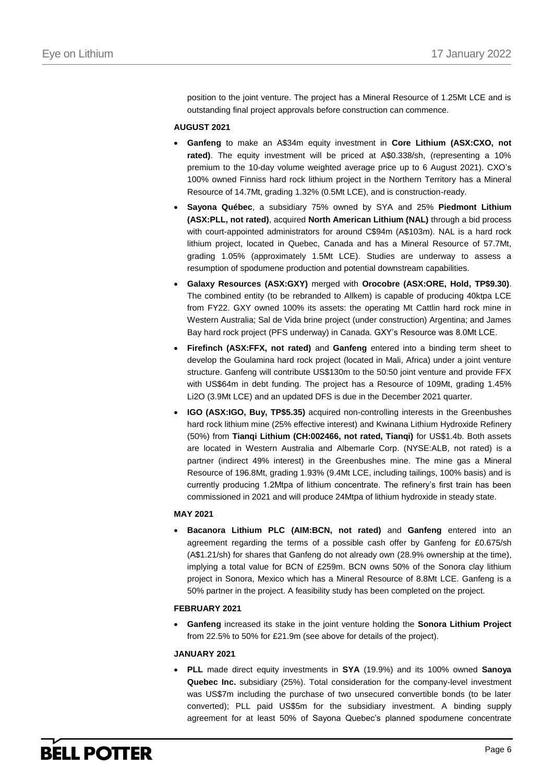position to the joint venture. The project has a Mineral Resource of 1.25Mt LCE and is outstanding final project approvals before construction can commence.

### **AUGUST 2021**

- **Ganfeng** to make an A\$34m equity investment in **Core Lithium (ASX:CXO, not rated)**. The equity investment will be priced at A\$0.338/sh, (representing a 10% premium to the 10-day volume weighted average price up to 6 August 2021). CXO's 100% owned Finniss hard rock lithium project in the Northern Territory has a Mineral Resource of 14.7Mt, grading 1.32% (0.5Mt LCE), and is construction-ready.
- **Sayona Québec**, a subsidiary 75% owned by SYA and 25% **Piedmont Lithium (ASX:PLL, not rated)**, acquired **North American Lithium (NAL)** through a bid process with court-appointed administrators for around C\$94m (A\$103m). NAL is a hard rock lithium project, located in Quebec, Canada and has a Mineral Resource of 57.7Mt, grading 1.05% (approximately 1.5Mt LCE). Studies are underway to assess a resumption of spodumene production and potential downstream capabilities.
- **Galaxy Resources (ASX:GXY)** merged with **Orocobre (ASX:ORE, Hold, TP\$9.30)**. The combined entity (to be rebranded to Allkem) is capable of producing 40ktpa LCE from FY22. GXY owned 100% its assets: the operating Mt Cattlin hard rock mine in Western Australia; Sal de Vida brine project (under construction) Argentina; and James Bay hard rock project (PFS underway) in Canada. GXY's Resource was 8.0Mt LCE.
- **Firefinch (ASX:FFX, not rated)** and **Ganfeng** entered into a binding term sheet to develop the Goulamina hard rock project (located in Mali, Africa) under a joint venture structure. Ganfeng will contribute US\$130m to the 50:50 joint venture and provide FFX with US\$64m in debt funding. The project has a Resource of 109Mt, grading 1.45% Li2O (3.9Mt LCE) and an updated DFS is due in the December 2021 quarter.
- **IGO (ASX:IGO, Buy, TP\$5.35)** acquired non-controlling interests in the Greenbushes hard rock lithium mine (25% effective interest) and Kwinana Lithium Hydroxide Refinery (50%) from **Tianqi Lithium (CH:002466, not rated, Tianqi)** for US\$1.4b. Both assets are located in Western Australia and Albemarle Corp. (NYSE:ALB, not rated) is a partner (indirect 49% interest) in the Greenbushes mine. The mine gas a Mineral Resource of 196.8Mt, grading 1.93% (9.4Mt LCE, including tailings, 100% basis) and is currently producing 1.2Mtpa of lithium concentrate. The refinery's first train has been commissioned in 2021 and will produce 24Mtpa of lithium hydroxide in steady state.

### **MAY 2021**

 **Bacanora Lithium PLC (AIM:BCN, not rated)** and **Ganfeng** entered into an agreement regarding the terms of a possible cash offer by Ganfeng for £0.675/sh (A\$1.21/sh) for shares that Ganfeng do not already own (28.9% ownership at the time), implying a total value for BCN of £259m. BCN owns 50% of the Sonora clay lithium project in Sonora, Mexico which has a Mineral Resource of 8.8Mt LCE. Ganfeng is a 50% partner in the project. A feasibility study has been completed on the project.

### **FEBRUARY 2021**

 **Ganfeng** increased its stake in the joint venture holding the **Sonora Lithium Project** from 22.5% to 50% for £21.9m (see above for details of the project).

### **JANUARY 2021**

 **PLL** made direct equity investments in **SYA** (19.9%) and its 100% owned **Sanoya Quebec Inc.** subsidiary (25%). Total consideration for the company-level investment was US\$7m including the purchase of two unsecured convertible bonds (to be later converted); PLL paid US\$5m for the subsidiary investment. A binding supply agreement for at least 50% of Sayona Quebec's planned spodumene concentrate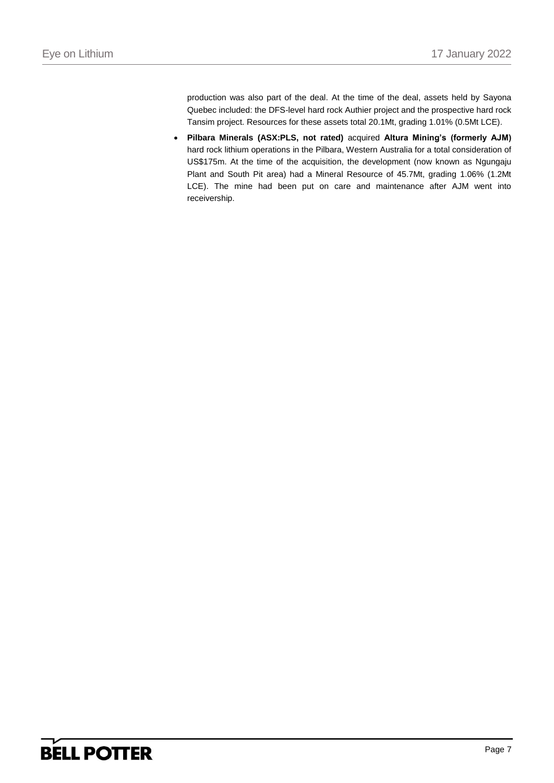production was also part of the deal. At the time of the deal, assets held by Sayona Quebec included: the DFS-level hard rock Authier project and the prospective hard rock Tansim project. Resources for these assets total 20.1Mt, grading 1.01% (0.5Mt LCE).

 **Pilbara Minerals (ASX:PLS, not rated)** acquired **Altura Mining's (formerly AJM)**  hard rock lithium operations in the Pilbara, Western Australia for a total consideration of US\$175m. At the time of the acquisition, the development (now known as Ngungaju Plant and South Pit area) had a Mineral Resource of 45.7Mt, grading 1.06% (1.2Mt LCE). The mine had been put on care and maintenance after AJM went into receivership.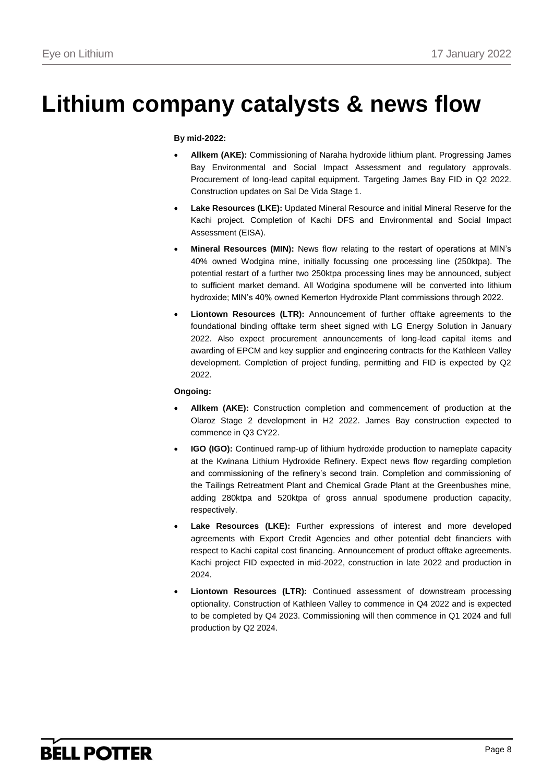# **Lithium company catalysts & news flow**

### **By mid-2022:**

- **Allkem (AKE):** Commissioning of Naraha hydroxide lithium plant. Progressing James Bay Environmental and Social Impact Assessment and regulatory approvals. Procurement of long-lead capital equipment. Targeting James Bay FID in Q2 2022. Construction updates on Sal De Vida Stage 1.
- **Lake Resources (LKE):** Updated Mineral Resource and initial Mineral Reserve for the Kachi project. Completion of Kachi DFS and Environmental and Social Impact Assessment (EISA).
- **Mineral Resources (MIN):** News flow relating to the restart of operations at MIN's 40% owned Wodgina mine, initially focussing one processing line (250ktpa). The potential restart of a further two 250ktpa processing lines may be announced, subject to sufficient market demand. All Wodgina spodumene will be converted into lithium hydroxide; MIN's 40% owned Kemerton Hydroxide Plant commissions through 2022.
- **Liontown Resources (LTR):** Announcement of further offtake agreements to the foundational binding offtake term sheet signed with LG Energy Solution in January 2022. Also expect procurement announcements of long-lead capital items and awarding of EPCM and key supplier and engineering contracts for the Kathleen Valley development. Completion of project funding, permitting and FID is expected by Q2 2022.

### **Ongoing:**

- **Allkem (AKE):** Construction completion and commencement of production at the Olaroz Stage 2 development in H2 2022. James Bay construction expected to commence in Q3 CY22.
- **IGO (IGO):** Continued ramp-up of lithium hydroxide production to nameplate capacity at the Kwinana Lithium Hydroxide Refinery. Expect news flow regarding completion and commissioning of the refinery's second train. Completion and commissioning of the Tailings Retreatment Plant and Chemical Grade Plant at the Greenbushes mine, adding 280ktpa and 520ktpa of gross annual spodumene production capacity, respectively.
- **Lake Resources (LKE):** Further expressions of interest and more developed agreements with Export Credit Agencies and other potential debt financiers with respect to Kachi capital cost financing. Announcement of product offtake agreements. Kachi project FID expected in mid-2022, construction in late 2022 and production in 2024.
- **Liontown Resources (LTR):** Continued assessment of downstream processing optionality. Construction of Kathleen Valley to commence in Q4 2022 and is expected to be completed by Q4 2023. Commissioning will then commence in Q1 2024 and full production by Q2 2024.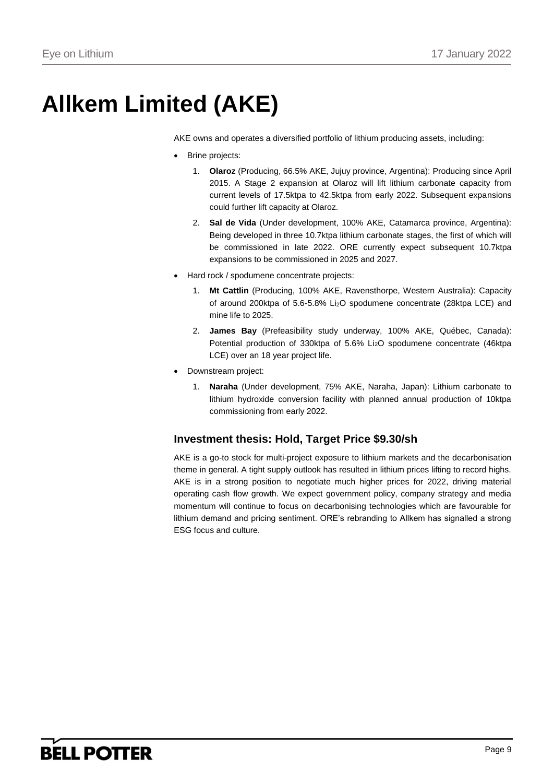# **Allkem Limited (AKE)**

AKE owns and operates a diversified portfolio of lithium producing assets, including:

- Brine projects:
	- 1. **Olaroz** (Producing, 66.5% AKE, Jujuy province, Argentina): Producing since April 2015. A Stage 2 expansion at Olaroz will lift lithium carbonate capacity from current levels of 17.5ktpa to 42.5ktpa from early 2022. Subsequent expansions could further lift capacity at Olaroz.
	- 2. **Sal de Vida** (Under development, 100% AKE, Catamarca province, Argentina): Being developed in three 10.7ktpa lithium carbonate stages, the first of which will be commissioned in late 2022. ORE currently expect subsequent 10.7ktpa expansions to be commissioned in 2025 and 2027.
- Hard rock / spodumene concentrate projects:
	- 1. **Mt Cattlin** (Producing, 100% AKE, Ravensthorpe, Western Australia): Capacity of around 200ktpa of 5.6-5.8% Li2O spodumene concentrate (28ktpa LCE) and mine life to 2025.
	- 2. **James Bay** (Prefeasibility study underway, 100% AKE, Québec, Canada): Potential production of 330ktpa of 5.6% Li<sub>2</sub>O spodumene concentrate (46ktpa LCE) over an 18 year project life.
- Downstream project:
	- 1. **Naraha** (Under development, 75% AKE, Naraha, Japan): Lithium carbonate to lithium hydroxide conversion facility with planned annual production of 10ktpa commissioning from early 2022.

### **Investment thesis: Hold, Target Price \$9.30/sh**

AKE is a go-to stock for multi-project exposure to lithium markets and the decarbonisation theme in general. A tight supply outlook has resulted in lithium prices lifting to record highs. AKE is in a strong position to negotiate much higher prices for 2022, driving material operating cash flow growth. We expect government policy, company strategy and media momentum will continue to focus on decarbonising technologies which are favourable for lithium demand and pricing sentiment. ORE's rebranding to Allkem has signalled a strong ESG focus and culture.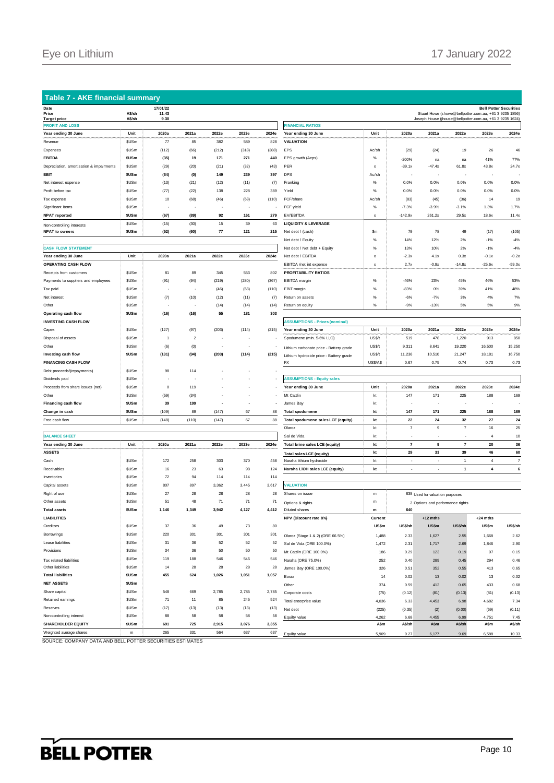### **Table 7 - AKE financial summary**

| наш<br>Price                             | A\$/sh            | 1770 1722<br>11.43 |                         |       |       |       |                                        |
|------------------------------------------|-------------------|--------------------|-------------------------|-------|-------|-------|----------------------------------------|
| <b>Target price</b>                      | A\$/sh            | 9.30               |                         |       |       |       |                                        |
| <b>PROFIT AND LOSS</b>                   |                   |                    |                         |       |       |       | <b>FINANCIAL RATIOS</b>                |
| Year ending 30 June                      | Unit              | 2020a              | 2021a                   | 2022e | 2023e | 2024e | Year ending 30 June                    |
| Revenue                                  | \$USm             | 77                 | 85                      | 382   | 589   | 828   | <b>VALUATION</b>                       |
| Expenses                                 | \$USm             | (112)              | (66)                    | (212) | (318) | (388) | EPS                                    |
| <b>EBITDA</b>                            | \$USm             | (35)               | 19                      | 171   | 271   | 440   | EPS growth (Acps)                      |
| Depreciation, amortisation & impairments | \$USm             | (29)               | (20)                    | (21)  | (32)  | (43)  | PER                                    |
| EBIT                                     | \$USm             | (64)               | (0)                     | 149   | 239   | 397   | DPS                                    |
| Net interest expense                     | \$US <sub>m</sub> | (13)               | (21)                    | (12)  | (11)  | (7)   | Franking                               |
| Profit before tax                        | \$US <sub>m</sub> | (77)               | (22)                    | 138   | 228   | 389   | Yield                                  |
| Tax expense                              | \$US <sub>m</sub> | 10                 | (68)                    | (46)  | (68)  | (110) | FCF/share                              |
| Significant items                        | \$US <sub>m</sub> |                    |                         |       |       |       | FCF yield                              |
| <b>NPAT</b> reported                     | \$USm             | (67)               | (89)                    | 92    | 161   | 279   | EV/EBITDA                              |
| Non-controlling interests                | \$US <sub>m</sub> | (15)               | (30)                    | 15    | 39    | 63    | <b>LIQUIDITY &amp; LEVERAGE</b>        |
| <b>NPAT to owners</b>                    | <b>SUSm</b>       | (52)               | (60)                    | 77    | 121   | 215   | Net debt / (cash)                      |
|                                          |                   |                    |                         |       |       |       | Net debt / Equity                      |
| <b>CASH FLOW STATEMENT</b>               |                   |                    |                         |       |       |       | Net debt / Net debt + Equity           |
| Year ending 30 June                      | Unit              | 2020a              | 2021a                   | 2022e | 2023e | 2024e | Net debt / EBITDA                      |
| OPERATING CASH FLOW                      |                   |                    |                         |       |       |       | EBITDA /net int expense                |
| Receipts from customers                  | \$US <sub>m</sub> | 81                 | 89                      | 345   | 553   | 802   | <b>PROFITABILITY RATIOS</b>            |
| Payments to suppliers and employees      | \$US <sub>m</sub> | (91)               | (94)                    | (219) | (280) | (367) | EBITDA margin                          |
| Tax paid                                 | \$USm             |                    | l,                      | (46)  | (68)  | (110) | EBIT margin                            |
| Net interest                             | <b>SUSm</b>       | (7)                | (10)                    | (12)  | (11)  | (7)   | Return on assets                       |
| Other                                    | \$US <sub>m</sub> |                    | i.                      | (14)  | (14)  | (14)  | Return on equity                       |
| Operating cash flow                      | \$USm             | (16)               | (16)                    | 55    | 181   | 303   |                                        |
| <b>INVESTING CASH FLOW</b>               |                   |                    |                         |       |       |       | <b>ASSUMPTIONS - Prices (nominal)</b>  |
| Capex                                    | \$US <sub>m</sub> | (127)              | (97)                    | (203) | (114) | (215) | Year ending 30 June                    |
| Disposal of assets                       | \$US <sub>m</sub> | 1                  | $\overline{\mathbf{c}}$ |       |       |       | Spodumene (min. 5-6% Li.O)             |
| Other                                    | \$US <sub>m</sub> | (6)                | (0)                     |       |       |       | Lithium carbonate price - Battery grad |
| Investing cash flow                      | \$USm             | (131)              | (94)                    | (203) | (114) | (215) | Lithium hydroxide price - Battery grad |
| <b>FINANCING CASH FLOW</b>               |                   |                    |                         |       |       |       | FX                                     |
| Debt proceeds/(repayments)               | \$US <sub>m</sub> | 98                 | 114                     |       |       |       |                                        |
| Dividends paid                           | <b>SUSm</b>       |                    |                         |       |       |       | <b>ASSUMPTIONS - Equity sales</b>      |
| Proceeds from share issues (net)         | \$USm             | $\mathbf 0$        | 119                     |       |       |       | Year ending 30 June                    |
| Other                                    | \$USm             | (59)               | (34)                    |       |       |       | Mt Cattlin                             |
| Financing cash flow                      | \$USm             | 39                 | 199                     |       |       | ٠     | James Bay                              |
| Change in cash                           | \$USm             | (109)              | 89                      | (147) | 67    | 88    | <b>Total spodumene</b>                 |
| Free cash flow                           | \$US <sub>m</sub> | (148)              | (110)                   | (147) | 67    | 88    | Total spodumene sales LCE (equit       |
|                                          |                   |                    |                         |       |       |       | Olaroz                                 |
| <b>BALANCE SHEET</b>                     |                   |                    |                         |       |       |       | Sal de Vida                            |
| Year ending 30 June                      | Unit              | 2020a              | 2021a                   | 2022e | 2023e | 2024e | <b>Total brine sales LCE (equity)</b>  |
| .<br><b>ASSETS</b>                       |                   |                    |                         |       |       |       | <b>Total sales LCE (equity)</b>        |
| Cash                                     | \$USm             | 172                | 258                     | 303   | 370   | 458   | Naraha lithium hydroxide               |
| Receivables                              | \$US <sub>m</sub> | 16                 | 23                      | 63    | 98    | 124   | Naraha LiOH sales LCE (equity)         |
| Inventories                              | \$US <sub>m</sub> | 72                 | 94                      | 114   | 114   | 114   |                                        |
| Capital assets                           | \$USm             | 807                | 897                     | 3,362 | 3,445 | 3,617 | <b>VALUATION</b>                       |
|                                          |                   |                    |                         |       |       |       |                                        |

| Date                                     | A\$/sh            | 17/01/22       |                  |       |                          |       |                                         |             |                | Stuart Howe (showe@bellpotter.com.au, +61 3 9235 1856)   |                | <b>Bell Potter Securities</b> |                           |
|------------------------------------------|-------------------|----------------|------------------|-------|--------------------------|-------|-----------------------------------------|-------------|----------------|----------------------------------------------------------|----------------|-------------------------------|---------------------------|
| Price<br><b>Target price</b>             | A\$/sh            | 11.43<br>9.30  |                  |       |                          |       |                                         |             |                | Joseph House (jhouse@bellpotter.com.au, +61 3 9235 1624) |                |                               |                           |
| <b>PROFIT AND LOSS</b>                   |                   |                |                  |       |                          |       | <b>FINANCIAL RATIOS</b>                 |             |                |                                                          |                |                               |                           |
| Year ending 30 June                      | Unit              | 2020a          | 2021a            | 2022e | 2023e                    | 2024e | Year ending 30 June                     | Unit        | 2020a          | 2021a                                                    | 2022e          | 2023e                         | 2024e                     |
| Revenue                                  | \$USm             | 77             | 85               | 382   | 589                      | 828   | VALUATION                               |             |                |                                                          |                |                               |                           |
| Expenses                                 | \$USm             | (112)          | (66)             | (212) | (318)                    | (388) | EPS                                     | Ac/sh       | (29)           | (24)                                                     | 19             | 26                            | 46                        |
| EBITDA                                   | \$USm             | (35)           | 19               | 171   | 271                      | 440   | EPS growth (Acps)                       | $\%$        | $-200%$        | na                                                       | na             | 41%                           | 77%                       |
| Depreciation, amortisation & impairments | \$USm             | (29)           | (20)             | (21)  | (32)                     | (43)  | PER                                     | x           | $-39.1x$       | $-47.4x$                                                 | 61.8x          | 43.8x                         | 24.7x                     |
| EBIT                                     | \$USm             | (64)           | (0)              | 149   | 239                      | 397   | <b>DPS</b>                              | Ac/sh       |                |                                                          |                |                               |                           |
| Net interest expense                     | \$US <sub>m</sub> | (13)           | (21)             | (12)  | (11)                     | (7)   | Franking                                | $\%$        | 0.0%           | 0.0%                                                     | 0.0%           | 0.0%                          | 0.0%                      |
| Profit before tax                        | \$US <sub>m</sub> | (77)           | (22)             | 138   | 228                      | 389   | Yield                                   | $\%$        | 0.0%           | 0.0%                                                     | 0.0%           | 0.0%                          | 0.0%                      |
| Tax expense                              | \$US <sub>m</sub> | 10             | (68)             | (46)  | (68)                     | (110) | FCF/share                               | Ac/sh       | (83)           | (45)                                                     | (36)           | 14                            | 19                        |
| Significant items                        | \$US <sub>m</sub> |                |                  |       |                          |       | FCF yield                               | $\%$        | $-7.3%$        | $-3.9%$                                                  | $-3.1%$        | 1.3%                          | 1.7%                      |
| <b>NPAT</b> reported                     | \$USm             | (67)           | (89)             | 92    | 161                      | 279   | EV/EBITDA                               | x           | $-142.9x$      | 261.2x                                                   | 29.5x          | 18.6x                         | 11.4x                     |
| Non-controlling interests                | \$USm             | (15)           | (30)             | 15    | 39                       | 63    | <b>LIQUIDITY &amp; LEVERAGE</b>         |             |                |                                                          |                |                               |                           |
| <b>NPAT to owners</b>                    | \$USm             | (52)           | (60)             | 77    | 121                      | 215   | Net debt / (cash)                       | \$m         | 79             | 78                                                       | 49             | (17)                          | (105)                     |
|                                          |                   |                |                  |       |                          |       | Net debt / Equity                       | $\%$        | 14%            | 12%                                                      | 2%             | $-1%$                         | $-4%$                     |
| <b>CASH FLOW STATEMENT</b>               |                   |                |                  |       |                          |       | Net debt / Net debt + Equity            | $\%$        | 13%            | 10%                                                      | 2%             | $-1%$                         | $-4%$                     |
| Year ending 30 June                      | Unit              | 2020a          | 2021a            | 2022e | 2023e                    | 2024e | Net debt / EBITDA                       | x           | $-2.3x$        | 4.1x                                                     | 0.3x           | $-0.1x$                       | $-0.2x$                   |
| <b>OPERATING CASH FLOW</b>               |                   |                |                  |       |                          |       | EBITDA /net int expense                 | x           | 2.7x           | $-0.9x$                                                  | $-14.8x$       | $-25.6x$                      | $-59.0x$                  |
| Receipts from customers                  | \$USm             | 81             | 89               | 345   | 553                      | 802   | <b>PROFITABILITY RATIOS</b>             |             |                |                                                          |                |                               |                           |
| Payments to suppliers and employees      | \$USm             | (91)           | (94)             | (219) | (280)                    | (367) | EBITDA margin                           | $\%$        | $-46%$         | 23%                                                      | 45%            | 46%                           | 53%                       |
| Tax paid                                 | \$USm             |                | ÷                | (46)  | (68)                     | (110) | EBIT margin                             | $\%$        | $-83%$         | 0%                                                       | 39%            | 41%                           | 48%                       |
| Net interest                             | \$US <sub>m</sub> | (7)            | (10)             | (12)  | (11)                     | (7)   | Return on assets                        | $\%$        | $-6%$          | $-7%$                                                    | 3%             | 4%                            | 7%                        |
| Other                                    | \$USm             |                | $\sim$           | (14)  | (14)                     | (14)  | Return on equity                        | $\%$        | $-9%$          | $-13%$                                                   | 5%             | 5%                            | 9%                        |
| Operating cash flow                      | \$USm             | (16)           | (16)             | 55    | 181                      | 303   |                                         |             |                |                                                          |                |                               |                           |
| <b>INVESTING CASH FLOW</b>               |                   |                |                  |       |                          |       | <b>ASSUMPTIONS - Prices (nominal)</b>   |             |                |                                                          |                |                               |                           |
| Capex                                    | \$USm             | (127)          | (97)             | (203) | (114)                    | (215) | Year ending 30 June                     | Unit        | 2020a          | 2021a                                                    | 2022e          | 2023e                         | 2024e                     |
| Disposal of assets                       | \$USm             | $\overline{1}$ | $\boldsymbol{2}$ |       |                          |       | Spodumene (min. 5-6% Li.O)              | US\$/t      | 519            | 478                                                      | 1,220          | 913                           | 850                       |
| Other                                    | \$US <sub>m</sub> | (6)            | (0)              | ٠     | $\overline{\phantom{a}}$ |       | Lithium carbonate price - Battery grade | US\$/t      | 9,311          | 8,641                                                    | 19,220         | 16,500                        | 15,250                    |
| Investing cash flow                      | \$USm             | (131)          | (94)             | (203) | (114)                    | (215) | Lithium hydroxide price - Battery grade | US\$/t      | 11,236         | 10,510                                                   | 21,247         | 18,181                        | 16,750                    |
| <b>FINANCING CASH FLOW</b>               |                   |                |                  |       |                          |       | FX                                      | US\$/A\$    | 0.67           | 0.75                                                     | 0.74           | 0.73                          | 0.73                      |
| Debt proceeds/(repayments)               | \$US <sub>m</sub> | 98             | 114              |       |                          |       |                                         |             |                |                                                          |                |                               |                           |
| Dividends paid                           | \$USm             |                |                  |       |                          |       | <b>ASSUMPTIONS - Equity sales</b>       |             |                |                                                          |                |                               |                           |
| Proceeds from share issues (net)         | \$USm             | 0              | 119              |       |                          |       | Year ending 30 June                     | Unit        | 2020a          | 2021a                                                    | 2022e          | 2023e                         | 2024e                     |
| Other                                    | \$USm             | (59)           | (34)             |       |                          |       | Mt Cattlin                              | kt          | 147            | 171                                                      | 225            | 188                           | 169                       |
| Financing cash flow                      | \$USm             | 39             | 199              |       | ÷,                       |       | James Bay                               | kt          |                |                                                          |                |                               |                           |
| Change in cash                           | \$USm             | (109)          | 89               | (147) | 67                       | 88    | <b>Total spodumene</b>                  | kt          | 147            | 171                                                      | 225            | 188                           | 169                       |
| Free cash flow                           | \$USm             | (148)          | (110)            | (147) | 67                       | 88    | Total spodumene sales LCE (equity)      | kt          | 22             | 24                                                       | 32             | 27                            | 24                        |
|                                          |                   |                |                  |       |                          |       | Olaroz                                  | kt          | $\overline{7}$ | 9                                                        | $\overline{7}$ | 16                            | 25                        |
| <b>BALANCE SHEET</b>                     |                   |                |                  |       |                          |       | Sal de Vida                             | kt          |                |                                                          |                | $\overline{4}$                | 10                        |
| Year ending 30 June                      | Unit              | 2020a          | 2021a            | 2022e | 2023e                    | 2024e | <b>Total brine sales LCE (equity)</b>   | kt          | $\overline{7}$ | 9                                                        | $\overline{7}$ | 20                            | 36                        |
| ASSETS                                   |                   |                |                  |       |                          |       | <b>Total sales LCE (equity)</b>         | kt          | 29             | 33                                                       | 39             | 46                            | 60                        |
| Cash                                     | \$USm             | 172            | 258              | 303   | 370                      | 458   | Naraha lithium hydroxide                | kt          | $\sim$         | ×                                                        | $\mathbf{1}$   | $\sqrt{4}$                    | $\overline{\mathfrak{c}}$ |
| Receivables                              | \$US <sub>m</sub> | 16             | 23               | 63    | 98                       | 124   | Naraha LiOH sales LCE (equity)          | kt          | $\blacksquare$ | $\cdot$                                                  | $\mathbf{1}$   | 4                             | 6                         |
| Inventories                              | \$US <sub>m</sub> | 72             | 94               | 114   | 114                      | 114   |                                         |             |                |                                                          |                |                               |                           |
| Capital assets                           | \$US <sub>m</sub> | 807            | 897              | 3,362 | 3,445                    | 3,617 | <b>VALUATION</b>                        |             |                |                                                          |                |                               |                           |
| Right of use                             | \$USm             | 27             | 28               | 28    | 28                       | 28    | Shares on issue                         | m           |                | 638 Used for valuation purposes                          |                |                               |                           |
| Other assets                             | \$US <sub>m</sub> | 51             | 48               | 71    | 71                       | 71    | Options & rights                        | ${\sf m}$   |                | 2 Options and performance rights                         |                |                               |                           |
| <b>Total assets</b>                      | \$USm             | 1,146          | 1,349            | 3,942 | 4,127                    | 4,412 | Diluted shares                          | m           | 640            |                                                          |                |                               |                           |
| LIABILITIES                              |                   |                |                  |       |                          |       | NPV (Discount rate 8%)                  | Current     |                | $+12$ mths                                               |                | $+24$ mths                    |                           |
| Creditors                                | \$USm             | 37             | 36               | 49    | 73                       | 80    |                                         | US\$m       | US\$/sh        | US\$m                                                    | US\$/sh        | US\$m                         | US\$/sh                   |
| Borrowings                               | \$US <sub>m</sub> | 220            | 301              | 301   | 301                      | 301   | Olaroz (Stage 1 & 2) (ORE 66.5%)        | 1,488       | 2.33           | 1,627                                                    | 2.55           | 1,668                         | 2.62                      |
| Lease liabilities                        | \$USm             | 31             | 36               | 52    | 52                       | 52    | Sal de Vida (ORE 100.0%)                | 1,472       | 2.31           | 1,717                                                    | 2.69           | 1,846                         | 2.90                      |
| Provisions                               | \$USm             | 34             | 36               | 50    | 50                       | 50    | Mt Cattlin (ORE 100.0%)                 | 186         | 0.29           | 123                                                      | 0.19           | 97                            | 0.15                      |
| Tax related liabilities                  | \$USm             | 119            | 188              | 546   | 546                      | 546   | Naraha (ORE 75.0%)                      | 252         | 0.40           | 289                                                      | 0.45           | 294                           | 0.46                      |
| Other liabilities                        | \$USm             | 14             | 28               | 28    | 28                       | 28    | James Bay (ORE 100.0%)                  | 326         | 0.51           | 352                                                      | 0.55           | 413                           | 0.65                      |
| <b>Total liabilities</b>                 | \$USm             | 455            | 624              | 1,026 | 1,051                    | 1,057 | Borax                                   | 14          | 0.02           | 13                                                       | 0.02           | 13                            | 0.02                      |
| NET ASSETS                               | \$USm             |                |                  |       |                          |       | Other                                   | 374         | 0.59           | 412                                                      | 0.65           | 433                           | 0.68                      |
| Share capital                            | \$USm             | 548            | 669              | 2,785 | 2,785                    | 2,785 | Corporate costs                         | (75)        | (0.12)         | (81)                                                     | (0.13)         | (81)                          | (0.13)                    |
| Retained earnings                        | \$US <sub>m</sub> | 71             | 11               | 85    | 245                      | 524   | Total enterprise value                  | 4,036       | 6.33           | 4,453                                                    | 6.98           | 4,682                         | 7.34                      |
| Reserves                                 | \$USm             | (17)           | (13)             | (13)  | (13)                     | (13)  | Net debt                                | (225)       | (0.35)         | (2)                                                      | (0.00)         | (69)                          | (0.11)                    |
| Non-controlling interest                 | \$USm             | 88             | 58               | 58    | 58                       | 58    | Equilty value                           | 4,262       | 6.68           | 4,455                                                    | 6.99           | 4,751                         | 7.45                      |
| SHAREHOLDER EQUITY                       | \$USm             | 691            | 725              | 2,915 | 3,076                    | 3,355 |                                         | <b>A\$m</b> | A\$/sh         | A\$m                                                     | A\$/sh         | <b>A\$m</b>                   | A\$/sh                    |
| Weighted average shares                  | m                 | 265            | 331              | 564   | 637                      | 637   | Equilty value                           | 5,909       | 9.27           | 6,177                                                    | 9.69           | 6,588                         | 10.33                     |
|                                          |                   |                |                  |       |                          |       |                                         |             |                |                                                          |                |                               |                           |

SOURCE: COMPANY DATA AND BELL POTTER SECURITIES ESTIMATES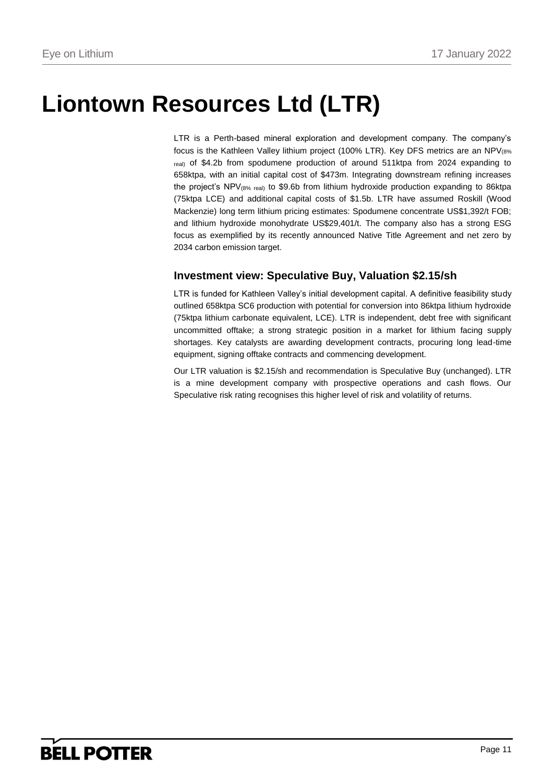# **Liontown Resources Ltd (LTR)**

LTR is a Perth-based mineral exploration and development company. The company's focus is the Kathleen Valley lithium project (100% LTR). Key DFS metrics are an NPV(8% real) of \$4.2b from spodumene production of around 511ktpa from 2024 expanding to 658ktpa, with an initial capital cost of \$473m. Integrating downstream refining increases the project's NPV(8% real) to \$9.6b from lithium hydroxide production expanding to 86ktpa (75ktpa LCE) and additional capital costs of \$1.5b. LTR have assumed Roskill (Wood Mackenzie) long term lithium pricing estimates: Spodumene concentrate US\$1,392/t FOB; and lithium hydroxide monohydrate US\$29,401/t. The company also has a strong ESG focus as exemplified by its recently announced Native Title Agreement and net zero by 2034 carbon emission target.

## **Investment view: Speculative Buy, Valuation \$2.15/sh**

LTR is funded for Kathleen Valley's initial development capital. A definitive feasibility study outlined 658ktpa SC6 production with potential for conversion into 86ktpa lithium hydroxide (75ktpa lithium carbonate equivalent, LCE). LTR is independent, debt free with significant uncommitted offtake; a strong strategic position in a market for lithium facing supply shortages. Key catalysts are awarding development contracts, procuring long lead-time equipment, signing offtake contracts and commencing development.

Our LTR valuation is \$2.15/sh and recommendation is Speculative Buy (unchanged). LTR is a mine development company with prospective operations and cash flows. Our Speculative risk rating recognises this higher level of risk and volatility of returns.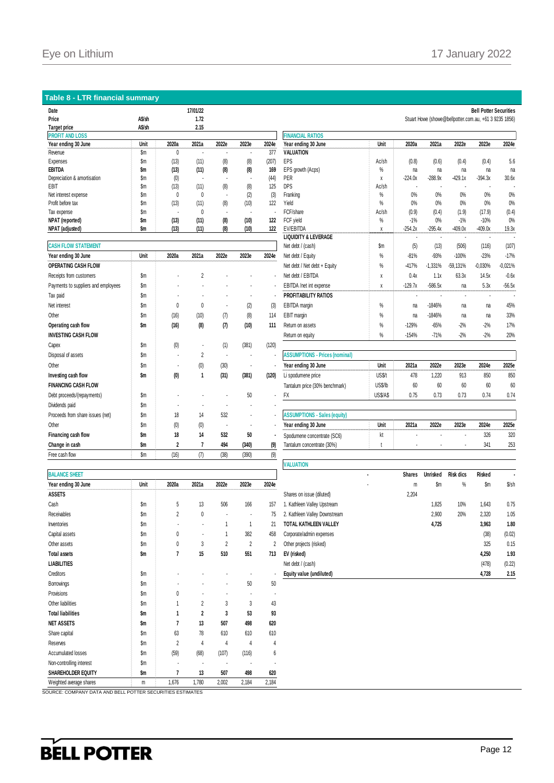### **Table 8 - LTR financial summary**

| Date                        |        |       | 17/01/22 |       |                |       |                         |       |           |           |           | <b>Bell Potter Securities</b>                          |       |
|-----------------------------|--------|-------|----------|-------|----------------|-------|-------------------------|-------|-----------|-----------|-----------|--------------------------------------------------------|-------|
| Price                       | A\$/sh |       | 1.72     |       |                |       |                         |       |           |           |           | Stuart Howe (showe@bellpotter.com.au, +61 3 9235 1856) |       |
| <b>Target price</b>         | A\$/sh |       | 2.15     |       |                |       |                         |       |           |           |           |                                                        |       |
| <b>PROFIT AND LOSS</b>      |        |       |          |       |                |       | <b>FINANCIAL RATIOS</b> |       |           |           |           |                                                        |       |
| Year ending 30 June         | Unit   | 2020a | 2021a    | 2022e | 2023e          | 2024e | Year ending 30 June     | Unit  | 2020a     | 2021a     | 2022e     | 2023e<br>                                              | 2024e |
| Revenue                     | \$m    |       |          |       | ٠              | 377   | <b>VALUATION</b>        |       |           |           |           |                                                        |       |
| Expenses                    | \$m    | (13)  | (11)     | (8)   | (8)            | (207) | EPS                     | Ac/sh | (0.8)     | (0.6)     | (0.4)     | (0.4)                                                  | 5.6   |
| EBITDA                      | \$m    | (13)  | (11)     | (8)   | (8)            | 169   | EPS growth (Acps)       | $\%$  | na        | na        | na        | na                                                     | na    |
| Depreciation & amortisation | \$m    | (0)   |          |       | $\blacksquare$ | (44)  | PER                     | Λ     | $-224.0x$ | $-288.9x$ | $-429.1x$ | $-394.3x$                                              | 30.6x |
| EBIT                        | \$m    | (13)  | (11)     | (8)   | (8)            | 125   | DPS                     | Ac/sh |           |           |           |                                                        |       |
| Net interest expense        | \$m    |       | 0        |       | (2)            | (3)   | Franking                | $\%$  | 0%        | 0%        | 0%        | 0%                                                     | 0%    |
| Profit before tax           | \$m    | (13)  | (11)     | (8)   | (10)           | 122   | Yield                   | $\%$  | 0%        | 0%        | 0%        | 0%                                                     | 0%    |
| Tax expense                 | \$m    | ۰     | $\theta$ |       |                |       | FCF/share               | Ac/sh | (0.9)     | (0.4)     | (1.9)     | (17.9)                                                 | (0.4) |
| NPAT (reported)             | \$m    | (13)  | (11)     | (8)   | (10)           | 122   | FCF yield               | %     | $-1%$     | 0%        | $-1%$     | $-10%$                                                 | 0%    |
| NPAT (adjusted)             | Sm     | (13)  | (11)     | (8)   | (10)           | 122   | EV/EBITDA               |       | $-254.2x$ | $-295.4x$ | $-409.0x$ | $-409.0x$                                              | 19.3x |

| <b>CASH FLOW STATEMENT</b>          |      |                |          |       |       |       | Net debt / (cash)                     |
|-------------------------------------|------|----------------|----------|-------|-------|-------|---------------------------------------|
| Year ending 30 June                 | Unit | 2020a          | 2021a    | 2022e | 2023e | 2024e | Net debt / Equity                     |
| <b>OPERATING CASH FLOW</b>          |      |                |          |       |       |       | Net debt / Net debt + Equity          |
| Receipts from customers             | \$m  |                | 2        |       |       |       | Net debt / EBITDA                     |
| Payments to suppliers and employees | \$m  |                |          |       |       |       | EBITDA /net int expense               |
| Tax paid                            | \$m  |                |          |       |       |       | <b>PROFITABILITY RATIOS</b>           |
| Net interest                        | \$m  | $\theta$       | $\theta$ |       | (2)   | (3)   | <b>EBITDA</b> margin                  |
| Other                               | \$m  | (16)           | (10)     | (7)   | (8)   | 114   | EBIT margin                           |
| Operating cash flow                 | \$m  | (16)           | (8)      | (7)   | (10)  | 111   | Return on assets                      |
| <b>INVESTING CASH FLOW</b>          |      |                |          |       |       |       | Return on equity                      |
| Capex                               | \$m  | (0)            |          | (1)   | (381) | (120) |                                       |
| Disposal of assets                  | \$m  |                | 2        |       |       |       | <b>ASSUMPTIONS - Prices (nominal)</b> |
| Other                               | \$m  |                | (0)      | (30)  |       |       | Year ending 30 June                   |
| Investing cash flow                 | \$m  | (0)            | 1        | (31)  | (381) | (120) | Li spodumene price                    |
| <b>FINANCING CASH FLOW</b>          |      |                |          |       |       |       | Tantalum price (30% benchmark)        |
| Debt proceeds/(repayments)          | \$m  |                |          |       | 50    |       | <b>FX</b>                             |
| Dividends paid                      | \$m  |                |          |       |       |       |                                       |
| Proceeds from share issues (net)    | \$m  | 18             | 14       | 532   |       |       | <b>ASSUMPTIONS - Sales (equity)</b>   |
| Other                               | \$m  | (0)            | (0)      |       |       |       | Year ending 30 June                   |
| Financing cash flow                 | \$m  | 18             | 14       | 532   | 50    |       | Spodumene concentrate (SC6)           |
| Change in cash                      | \$m  | $\overline{2}$ | 7        | 494   | (340) | (9)   | Tantalum concentrate (30%)            |
| Free cash flow                      | \$m  | (16)           | (7)      | (38)  | (390) | (9)   |                                       |

| <b>BALANCE SHEET</b>      |      |                |                       | ٠     | <b>Shares</b>  |       |                               |       |
|---------------------------|------|----------------|-----------------------|-------|----------------|-------|-------------------------------|-------|
| Year ending 30 June       | Unit | 2020a          | 2021a                 | 2022e | 2023e          | 2024e |                               | m     |
| <b>ASSETS</b>             |      |                |                       |       |                |       | Shares on issue (diluted)     | 2,204 |
| Cash                      | \$m  | 5              | 13                    | 506   | 166            | 157   | 1. Kathleen Valley Upstream   |       |
| <b>Receivables</b>        | \$m  | $\overline{2}$ | 0                     |       |                | 75    | 2. Kathleen Valley Downstream |       |
| Inventories               | \$m  | ٠              | ٠                     | 1     |                | 21    | TOTAL KATHLEEN VALLEY         |       |
| Capital assets            | \$m  | 0              | $\tilde{\phantom{a}}$ | 1     | 382            | 458   | Corporate/admin expenses      |       |
| Other assets              | \$m  | 0              | 3                     | 2     | $\overline{2}$ | 2     | Other projects (risked)       |       |
| <b>Total assets</b>       | \$m  | 7              | 15                    | 510   | 551            | 713   | EV (risked)                   |       |
| <b>LIABILITIES</b>        |      |                |                       |       |                |       | Net debt / (cash)             |       |
| Creditors                 | \$m  |                |                       |       |                |       | Equity value (undiluted)      |       |
| Borrowings                | \$m  |                |                       | ٠     | 50             | 50    |                               |       |
| Provisions                | \$m  | 0              | ٠                     | ٠     | ٠              |       |                               |       |
| Other liabilities         | \$m  | 1              | $\overline{2}$        | 3     | 3              | 43    |                               |       |
| <b>Total liabilities</b>  | \$m  | 1              | $\overline{2}$        | 3     | 53             | 93    |                               |       |
| <b>NET ASSETS</b>         | \$m  | 7              | 13                    | 507   | 498            | 620   |                               |       |
| Share capital             | \$m  | 63             | 78                    | 610   | 610            | 610   |                               |       |
| Reserves                  | \$m  | 2              | 4                     | 4     | 4              | 4     |                               |       |
| Accumulated losses        | \$m  | (59)           | (68)                  | (107) | (116)          | 6     |                               |       |
| Non-controlling interest  | \$m  |                |                       |       |                |       |                               |       |
| <b>SHAREHOLDER EQUITY</b> | \$m  | 7              | 13                    | 507   | 498            | 620   |                               |       |
| Weighted average shares   | m    | 1,676          | 1,780                 | 2,002 | 2,184          | 2,184 |                               |       |

| Expenses                            | \$m           | (13)                    | (11)                 | (8)                      | (8)                      | (207) | EPS                                          | Ac/sh         | (0.8)         | (0.6)                                 | (0.4)            | (0.4)           | 5.6       |
|-------------------------------------|---------------|-------------------------|----------------------|--------------------------|--------------------------|-------|----------------------------------------------|---------------|---------------|---------------------------------------|------------------|-----------------|-----------|
| EBITDA                              | \$m           | (13)                    | (11)                 | (8)                      | (8)                      | 169   | EPS growth (Acps)                            | %             | na            | na                                    | na               | na              | na        |
| Depreciation & amortisation         | $\mathsf{Sm}$ | (0)                     | $\ddot{\phantom{1}}$ | $\overline{\phantom{a}}$ |                          | (44)  | PER                                          | X             | $-224.0x$     | $-288.9x$                             | $-429.1x$        | $-394.3x$       | 30.6x     |
| EBIT                                | $\mathsf{Sm}$ | (13)                    | (11)                 | (8)                      | (8)                      | 125   | <b>DPS</b>                                   | Ac/sh         |               |                                       |                  |                 |           |
| Net interest expense                | \$m           | 0                       | 0                    | $\sim$                   | (2)                      | (3)   | Franking                                     | %             | 0%            | 0%                                    | 0%               | 0%              | $0\%$     |
| Profit before tax                   | $\mathsf{Sm}$ | (13)                    | (11)                 | (8)                      | (10)                     | 122   | Yield                                        | %             | 0%            | 0%                                    | 0%               | 0%              | 0%        |
| Tax expense                         | $\mathsf{Sm}$ | ÷.                      | 0                    | $\blacksquare$           |                          |       | FCF/share                                    | Ac/sh         | (0.9)         | (0.4)                                 | (1.9)            | (17.9)          | (0.4)     |
| NPAT (reported)                     | \$m           | (13)                    | (11)                 | (8)                      | (10)                     | 122   | FCF yield                                    | %             | $-1%$         | 0%                                    | $-1%$            | $-10%$          | $0\%$     |
| NPAT (adjusted)                     | \$m           | (13)                    | (11)                 | (8)                      | (10)                     | 122   | EV/EBITDA<br><b>LIQUIDITY &amp; LEVERAGE</b> | X             | $-254.2x$     | $-295.4x$<br>$\overline{\phantom{a}}$ | $-409.0x$        | $-409.0x$<br>÷. | 19.3x     |
| <b>CASH FLOW STATEMENT</b>          |               |                         |                      |                          |                          |       | Net debt / (cash)                            | $\mathsf{Sm}$ | (5)           | (13)                                  | (506)            | (116)           | (107)     |
| Year ending 30 June                 | Unit          | 2020a                   | 2021a                | 2022e                    | 2023e                    | 2024e | Net debt / Equity                            | %             | $-81%$        | $-93%$                                | $-100%$          | $-23%$          | $-17%$    |
|                                     |               |                         |                      |                          |                          |       |                                              |               |               |                                       |                  |                 |           |
| OPERATING CASH FLOW                 |               |                         |                      |                          |                          |       | Net debt / Net debt + Equity                 | %             | $-417%$       | $-1.331%$                             | -59.131%         | $-0.030%$       | $-0.021%$ |
| Receipts from customers             | $\mathsf{Sm}$ |                         | 2                    |                          |                          |       | Net debt / EBITDA                            | X             | 0.4x          | 1.1x                                  | 63.3x            | 14.5x           | $-0.6x$   |
| Payments to suppliers and employees | \$m           |                         |                      |                          |                          |       | EBITDA /net int expense                      | Χ             | $-129.7x$     | $-586.5x$                             | na               | 5.3x            | $-56.5x$  |
| Tax paid                            | $\mathsf{Sm}$ |                         |                      |                          |                          |       | <b>PROFITABILITY RATIOS</b>                  |               |               |                                       |                  |                 |           |
| Net interest                        | \$m           | 0                       | 0                    |                          | (2)                      | (3)   | EBITDA margin                                | %             | na            | $-1846%$                              | na               | na              | 45%       |
| Other                               | $\mathsf{Sm}$ | (16)                    | (10)                 | (7)                      | (8)                      | 114   | EBIT margin                                  | %             | na            | $-1846%$                              | na               | na              | 33%       |
| Operating cash flow                 | \$m           | (16)                    | (8)                  | (7)                      | (10)                     | 111   | Return on assets                             | %             | $-129%$       | $-65%$                                | $-2%$            | $-2%$           | 17%       |
| INVESTING CASH FLOW                 |               |                         |                      |                          |                          |       | Return on equity                             | %             | $-154%$       | $-71%$                                | $-2%$            | $-2%$           | 20%       |
| Capex                               | \$m           | (0)                     | ٠                    | (1)                      | (381)                    | (120) |                                              |               |               |                                       |                  |                 |           |
| Disposal of assets                  | $\mathsf{Sm}$ |                         | $\overline{2}$       | $\epsilon$               | ÷,                       |       | <b>ASSUMPTIONS - Prices (nominal)</b>        |               |               |                                       |                  |                 |           |
| Other                               | \$m           |                         | (0)                  | (30)                     | $\overline{\phantom{a}}$ |       | Year ending 30 June                          | Unit          | 2021a         | 2022e                                 | 2023e            | 2024e           | 2025e     |
| Investing cash flow                 | \$m           | (0)                     | $\mathbf{1}$         | (31)                     | (381)                    | (120) | Li spodumene price                           | US\$/t        | 478           | 1,220                                 | 913              | 850             | 850       |
| <b>FINANCING CASH FLOW</b>          |               |                         |                      |                          |                          |       | Tantalum price (30% benchmark)               | US\$/lb       | 60            | 60                                    | 60               | 60              | 60        |
| Debt proceeds/(repayments)          | \$m           |                         |                      |                          | 50                       |       | FX                                           | US\$/A\$      | 0.75          | 0.73                                  | 0.73             | 0.74            | 0.74      |
| Dividends paid                      | \$m           |                         |                      |                          |                          |       |                                              |               |               |                                       |                  |                 |           |
| Proceeds from share issues (net)    | \$m           | 18                      | 14                   | 532                      |                          |       | <b>ASSUMPTIONS - Sales (equity)</b>          |               |               |                                       |                  |                 |           |
| Other                               | $\mathsf{Sm}$ | (0)                     | (0)                  |                          |                          |       | Year ending 30 June                          | Unit          | 2021a         | 2022e                                 | 2023e            | 2024e           | 2025e     |
| Financing cash flow                 | \$m           | 18                      | 14                   | 532                      | 50                       |       | Spodumene concentrate (SC6)                  | kt            |               |                                       |                  | 326             | 320       |
| Change in cash                      | \$m           | $\overline{\mathbf{2}}$ | $\overline{7}$       | 494                      | (340)                    | (9)   | Tantalum concentrate (30%)                   |               |               |                                       |                  | 341             | 253       |
| Free cash flow                      | \$m           | (16)                    | (7)                  | (38)                     | (390)                    | (9)   |                                              |               |               |                                       |                  |                 |           |
|                                     |               |                         |                      |                          |                          |       | <b>VALUATION</b>                             |               |               |                                       |                  |                 |           |
| <b>BALANCE SHEET</b>                |               |                         |                      |                          |                          |       |                                              |               | <b>Shares</b> | <b>Unrisked</b>                       | <b>Risk dics</b> | <b>Risked</b>   |           |
| Year ending 30 June                 | Unit          | 2020a                   | 2021a                | 2022e                    | 2023e                    | 2024e |                                              |               | m             | \$m                                   | %                | \$m             | $$$ /sh   |

|                      |      |                          |                          |                          |          |                    | ************                  |   |               |                 |                  |               |         |
|----------------------|------|--------------------------|--------------------------|--------------------------|----------|--------------------|-------------------------------|---|---------------|-----------------|------------------|---------------|---------|
| <b>BALANCE SHEET</b> |      |                          |                          |                          |          |                    |                               |   | <b>Shares</b> | <b>Unrisked</b> | <b>Risk dics</b> | <b>Risked</b> |         |
| Year ending 30 June  | Unit | 2020a                    | 2021a                    | 2022e                    | 2023e    | 2024e<br>--------- |                               | ۰ | m             | \$m             | $\%$             | \$m           | $$$ /sh |
| ASSETS               |      |                          |                          |                          |          |                    | Shares on issue (diluted)     |   | 2,204         |                 |                  |               |         |
| Cash                 | \$m  | 5                        | 13                       | 506                      | 166      | 157                | Kathleen Valley Upstream      |   |               | 1,825           | 10%              | 1,643         | 0.75    |
| Receivables          | \$m  | 2                        | 0                        | $\overline{\phantom{a}}$ | ٠        | 75                 | 2. Kathleen Valley Downstream |   |               | 2,900           | 20%              | 2,320         | 1.05    |
| Inventories          | \$m  |                          | $\overline{\phantom{a}}$ |                          |          | 21                 | TOTAL KATHLEEN VALLEY         |   |               | 4,725           |                  | 3,963         | 1.80    |
| Capital assets       | \$m  | 0                        | $\overline{\phantom{a}}$ |                          | 382      | 458                | Corporate/admin expenses      |   |               |                 |                  | (38)          | (0.02)  |
| Other assets         | \$m  | 0                        | 3                        | 2                        | $\gamma$ |                    | Other projects (risked)       |   |               |                 |                  | 325           | 0.15    |
| <b>Total assets</b>  | \$m  |                          | 15                       | 510                      | 551      | 713                | EV (risked)                   |   |               |                 |                  | 4,250         | 1.93    |
| LIABILITIES          |      |                          |                          |                          |          |                    | Net debt / (cash)             |   |               |                 |                  | (478)         | (0.22)  |
| Creditors            | \$m  | $\overline{\phantom{a}}$ |                          |                          |          |                    | Equity value (undiluted)      |   |               |                 |                  | 4,728         | 2.15    |

SOURCE: COMPANY DATA AND BELL POTTER SECURITIES ESTIMATES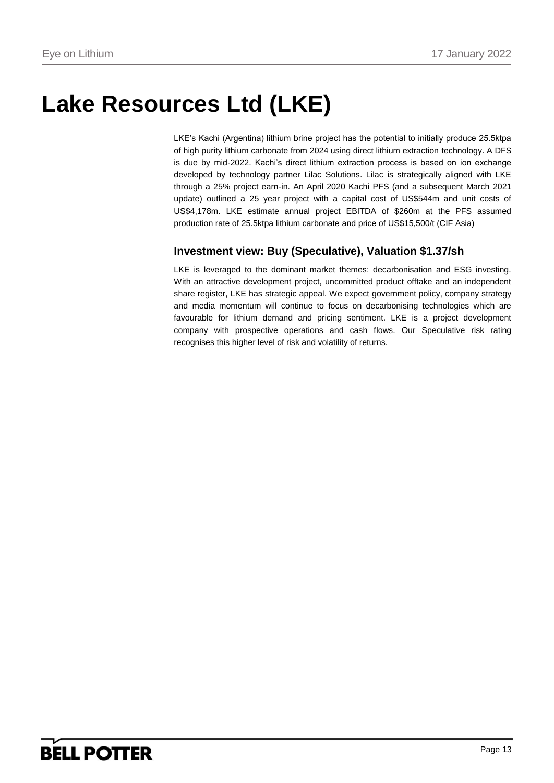# **Lake Resources Ltd (LKE)**

LKE's Kachi (Argentina) lithium brine project has the potential to initially produce 25.5ktpa of high purity lithium carbonate from 2024 using direct lithium extraction technology. A DFS is due by mid-2022. Kachi's direct lithium extraction process is based on ion exchange developed by technology partner Lilac Solutions. Lilac is strategically aligned with LKE through a 25% project earn-in. An April 2020 Kachi PFS (and a subsequent March 2021 update) outlined a 25 year project with a capital cost of US\$544m and unit costs of US\$4,178m. LKE estimate annual project EBITDA of \$260m at the PFS assumed production rate of 25.5ktpa lithium carbonate and price of US\$15,500/t (CIF Asia)

## **Investment view: Buy (Speculative), Valuation \$1.37/sh**

LKE is leveraged to the dominant market themes: decarbonisation and ESG investing. With an attractive development project, uncommitted product offtake and an independent share register, LKE has strategic appeal. We expect government policy, company strategy and media momentum will continue to focus on decarbonising technologies which are favourable for lithium demand and pricing sentiment. LKE is a project development company with prospective operations and cash flows. Our Speculative risk rating recognises this higher level of risk and volatility of returns.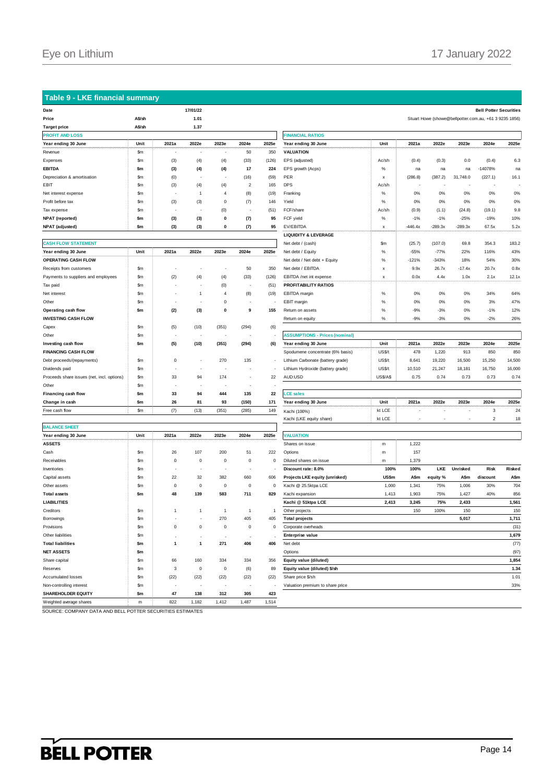### **Table 9 - LKE financial summary**

| Date                        |                                                  |       | 17/01/22                 |                          |                          |                      |                         |       |           |           |                          | <b>Bell Potter Securities</b>                          |                            |
|-----------------------------|--------------------------------------------------|-------|--------------------------|--------------------------|--------------------------|----------------------|-------------------------|-------|-----------|-----------|--------------------------|--------------------------------------------------------|----------------------------|
| Price                       | A\$/sh                                           |       | 1.01                     |                          |                          |                      |                         |       |           |           |                          | Stuart Howe (showe@bellpotter.com.au, +61 3 9235 1856) |                            |
| <b>Target price</b>         | A\$/sh                                           |       | 1.37                     |                          |                          |                      |                         |       |           |           |                          |                                                        |                            |
| <b>PROFIT AND LOSS</b>      |                                                  |       |                          |                          |                          |                      | <b>FINANCIAL RATIOS</b> |       |           |           |                          |                                                        |                            |
| Year ending 30 June         | Unit<br><b><i><u>CONTRACTORS COMPANY</u></i></b> | 2021a | 2022e                    | 2023e                    | 2024e                    | 2025e<br>,,,,,,,,,,, | Year ending 30 June     | Unit  | 2021a     | 2022e     | 2023e                    | 2024e                                                  | 2025e<br><u>namanan ma</u> |
| Revenue                     | \$m                                              |       |                          | $\sim$                   | 50                       | 350                  | <b>VALUATION</b>        |       |           |           |                          |                                                        |                            |
| Expenses                    | \$m                                              | (3)   | (4)                      | (4)                      | (33)                     | (126)                | EPS (adjusted)          | Ac/sh | (0.4)     | (0.3)     | 0.0                      | (0.4)                                                  | 6.3                        |
| <b>EBITDA</b>               | \$m                                              | (3)   | (4)                      | (4)                      | 17                       | 224                  | EPS growth (Acps)       | %     | na        | na        | na                       | $-14078%$                                              | na                         |
| Depreciation & amortisation | \$m                                              | (0)   | $\overline{\phantom{a}}$ | $\overline{\phantom{a}}$ | (16)                     | (59)                 | PER                     | X     | (286.8)   | (387.2)   | 31,748.0                 | (227.1)                                                | 16.1                       |
| EBIT                        | \$m                                              | (3)   | (4)                      | (4)                      | $\overline{2}$           | 165                  | <b>DPS</b>              | Ac/sh |           |           | $\overline{\phantom{a}}$ | $\overline{\phantom{a}}$                               |                            |
| Net interest expense        | \$m                                              |       |                          | 4                        | (8)                      | (19)                 | Franking                | %     | 0%        | 0%        | 0%                       | 0%                                                     | 0%                         |
| Profit before tax           | \$m                                              | (3)   | (3)                      | 0                        | (7)                      | 146                  | Yield                   | %     | 0%        | 0%        | 0%                       | 0%                                                     | 0%                         |
| Tax expense                 | \$m                                              |       | - 11                     | (0)                      | $\overline{\phantom{a}}$ | (51)                 | FCF/share               | Ac/sh | (0.9)     | (1.1)     | (24.8)                   | (19.1)                                                 | 9.8                        |
| <b>NPAT</b> (reported)      | \$m                                              | (3)   | (3)                      | 0                        | (7)                      | 95                   | FCF yield               | %     | $-1%$     | $-1%$     | $-25%$                   | $-19%$                                                 | 10%                        |
| <b>NPAT</b> (adjusted)      | \$m                                              | (3)   | (3)                      | 0                        | (7)                      | 95                   | EV/EBITDA               | x     | $-446.4x$ | $-289.3x$ | $-289.3x$                | 67.5x                                                  | 5.2x                       |
|                             |                                                  |       |                          |                          |                          |                      |                         |       |           |           |                          |                                                        |                            |

| <b>CASH FLOW STATEMENT</b>                 |       |          |       |          |       |       |                                       |  |  |  |  |  |
|--------------------------------------------|-------|----------|-------|----------|-------|-------|---------------------------------------|--|--|--|--|--|
| Year ending 30 June                        | Unit  | 2021a    | 2022e | 2023e    | 2024e | 2025e | Net debt / Equity                     |  |  |  |  |  |
| <b>OPERATING CASH FLOW</b>                 |       |          |       |          |       |       | Net debt / Net debt + Equity          |  |  |  |  |  |
| Receipts from customers                    | \$m   |          |       |          | 50    | 350   | Net debt / EBITDA                     |  |  |  |  |  |
| Payments to suppliers and employees        | \$m   | (2)      | (4)   | (4)      | (33)  | (126) | EBITDA /net int expense               |  |  |  |  |  |
| Tax paid                                   | \$m   |          |       | (0)      |       | (51)  | <b>PROFITABILITY RATIOS</b>           |  |  |  |  |  |
| Net interest                               | \$m   |          | 1     | 4        | (8)   | (19)  | EBITDA margin                         |  |  |  |  |  |
| Other                                      | \$m   |          |       | $\Omega$ |       |       | EBIT margin                           |  |  |  |  |  |
| Operating cash flow                        | \$m   | (2)      | (3)   | 0        | 9     | 155   | Retum on assets                       |  |  |  |  |  |
| <b>INVESTING CASH FLOW</b>                 |       |          |       |          |       |       | Return on equity                      |  |  |  |  |  |
| Capex                                      | \$m   | (5)      | (10)  | (351)    | (294) | (6)   |                                       |  |  |  |  |  |
| Other                                      | \$m   |          |       |          |       |       | <b>ASSUMPTIONS - Prices (nominal)</b> |  |  |  |  |  |
| Investing cash flow                        | \$m   | (5)      | (10)  | (351)    | (294) | (6)   | Year ending 30 June                   |  |  |  |  |  |
| <b>FINANCING CASH FLOW</b>                 |       |          |       |          |       |       | Spodumene concentrate (6% basis)      |  |  |  |  |  |
| Debt proceeds/(repayments)                 | \$m   | $\Omega$ |       | 270      | 135   | ٠     | Lithium Carbonate (battery grade)     |  |  |  |  |  |
| Dividends paid                             | \$m   |          |       |          |       | ٠     | Lithium Hydroxide (battery grade)     |  |  |  |  |  |
| Proceeds share issues (net, incl. options) | \$m   | 33       | 94    | 174      |       | 22    | AUD:USD                               |  |  |  |  |  |
| Other                                      | \$m   | ٠        |       |          |       |       |                                       |  |  |  |  |  |
| Financing cash flow                        | \$m   | 33       | 94    | 444      | 135   | 22    | <b>LCE sales</b>                      |  |  |  |  |  |
| Change in cash                             | \$m   | 26       | 81    | 93       | (150) | 171   | Year ending 30 June                   |  |  |  |  |  |
| Free cash flow                             | \$m\$ | (7)      | (13)  | (351)    | (285) | 149   | Kachi (100%)                          |  |  |  |  |  |
|                                            |       |          |       |          |       |       | ピー・レン パリピロー・エンジー・エレーエン                |  |  |  |  |  |

|                           |      |             |              |              |             |       | Naurii (LNL cyully Share)        | ᇿᄔᄔ          |       |
|---------------------------|------|-------------|--------------|--------------|-------------|-------|----------------------------------|--------------|-------|
| <b>BALANCE SHEET</b>      |      |             |              |              |             |       |                                  |              |       |
| Year ending 30 June       | Unit | 2021a       | 2022e        | 2023e        | 2024e       | 2025e | <b>VALUATION</b>                 |              |       |
| <b>ASSETS</b>             |      |             |              |              |             |       | Shares on issue                  | m            | 1,222 |
| Cash                      | \$m  | 26          | 107          | 200          | 51          | 222   | Options                          | m            | 157   |
| Receivables               | \$m  | $\mathbf 0$ | $^{\circ}$   | $\mathbf 0$  | $\mathbf 0$ | 0     | Diluted shares on issue          | m            | 1,379 |
| Inventories               | \$m  | $\sim$      |              | ٠            |             |       | Discount rate: 8.0%              | 100%         | 100%  |
| Capital assets            | \$m  | 22          | 32           | 382          | 660         | 606   | Projects LKE equity (unrisked)   | <b>US\$m</b> | A\$m  |
| Other assets              | \$m  | $\mathbf 0$ | $^{\circ}$   | $\mathbf 0$  | $\mathbf 0$ | 0     | Kachi @ 25.5ktpa LCE             | 1,000        | 1,341 |
| <b>Total assets</b>       | \$m  | 48          | 139          | 583          | 711         | 829   | Kachi expansion                  | 1,413        | 1,903 |
| <b>LIABILITIES</b>        |      |             |              |              |             |       | Kachi @ 51ktpa LCE               | 2,413        | 3,245 |
| Creditors                 | \$m  | 1           | $\mathbf{1}$ | $\mathbf{1}$ | 1           | 1     | Other projects                   |              | 150   |
| Borrowings                | \$m  |             |              | 270          | 405         | 405   | <b>Total projects</b>            |              |       |
| Provisions                | \$m  | $\mathbf 0$ | $^{\circ}$   | $\mathbf 0$  | $\mathbf 0$ | 0     | Corporate overheads              |              |       |
| Other liabilities         | \$m  |             |              |              |             |       | <b>Enterprise value</b>          |              |       |
| <b>Total liabilities</b>  | \$m  | 1           | $\mathbf{1}$ | 271          | 406         | 406   | Net debt                         |              |       |
| <b>NET ASSETS</b>         | \$m  |             |              |              |             |       | Options                          |              |       |
| Share capital             | \$m  | 66          | 160          | 334          | 334         | 356   | Equity value (diluted)           |              |       |
| Reserves                  | \$m  | 3           | $^{\circ}$   | $\mathbf 0$  | (6)         | 89    | Equity value (diluted) \$/sh     |              |       |
| <b>Accumulated losses</b> | \$m  | (22)        | (22)         | (22)         | (22)        | (22)  | Share price \$/sh                |              |       |
| Non-controlling interest  | \$m  |             |              |              |             |       | Valuation premium to share price |              |       |
| <b>SHAREHOLDER EQUITY</b> | \$m  | 47          | 138          | 312          | 305         | 423   |                                  |              |       |
| Weighted average shares   | m    | 822         | 1,182        | 1,412        | 1,487       | 1,514 |                                  |              |       |
|                           |      |             | $- - -$      |              |             |       |                                  |              |       |

| <b>PROFIT AND LOSS</b>                     |               |              |                          |                          |                          | <b>FINANCIAL RATIOS</b> |                                       |                           |           |           |                          |                |        |
|--------------------------------------------|---------------|--------------|--------------------------|--------------------------|--------------------------|-------------------------|---------------------------------------|---------------------------|-----------|-----------|--------------------------|----------------|--------|
| Year ending 30 June                        | Unit          | 2021a        | 2022e                    | 2023e                    | 2024e                    | 2025e                   | Year ending 30 June                   | Unit                      | 2021a     | 2022e     | 2023e                    | 2024e          | 2025e  |
| Revenue                                    | \$m\$         |              |                          |                          | 50                       | 350                     | <b>VALUATION</b>                      |                           |           |           |                          |                |        |
| Expenses                                   | $\mathsf{Sm}$ | (3)          | (4)                      | (4)                      | (33)                     | (126)                   | EPS (adjusted)                        | Ac/sh                     | (0.4)     | (0.3)     | 0.0                      | (0.4)          | 6.3    |
| EBITDA                                     | \$m           | (3)          | (4)                      | (4)                      | 17                       | 224                     | EPS growth (Acps)                     | $\%$                      | na        | na        | na                       | 14078%         | na     |
| Depreciation & amortisation                | \$m           | (0)          |                          |                          | (16)                     | (59)                    | PER                                   | $\boldsymbol{\mathsf{x}}$ | (286.8)   | (387.2)   | 31,748.0                 | (227.1)        | 16.1   |
| EBIT                                       | \$m           | (3)          | (4)                      | (4)                      | $\sqrt{2}$               | 165                     | <b>DPS</b>                            | Ac/sh                     |           |           |                          |                |        |
| Net interest expense                       | \$m\$         |              | $\overline{1}$           | $\overline{4}$           | (8)                      | (19)                    | Franking                              | $\%$                      | 0%        | 0%        | 0%                       | 0%             | 0%     |
| Profit before tax                          | \$m           | (3)          | (3)                      | $\mathbf 0$              | (7)                      | 146                     | Yield                                 | %                         | 0%        | 0%        | 0%                       | 0%             | 0%     |
| Tax expense                                | \$m           |              |                          | (0)                      |                          | (51)                    | FCF/share                             | Ac/sh                     | (0.9)     | (1.1)     | (24.8)                   | (19.1)         | 9.8    |
| NPAT (reported)                            | \$m           | (3)          | (3)                      | $\mathbf{0}$             | (7)                      | 95                      | FCF yield                             | %                         | $-1%$     | $-1%$     | $-25%$                   | $-19%$         | 10%    |
| NPAT (adjusted)                            | \$m           | (3)          | (3)                      | 0                        | (7)                      | 95                      | EV/EBITDA                             | X                         | $-446.4x$ | $-289.3x$ | $-289.3x$                | 67.5x          | 5.2x   |
|                                            |               |              |                          |                          |                          |                         | <b>LIQUIDITY &amp; LEVERAGE</b>       |                           |           |           |                          |                |        |
| <b>CASH FLOW STATEMENT</b>                 |               |              |                          |                          |                          |                         | Net debt / (cash)                     | \$m                       | (25.7)    | (107.0)   | 69.8                     | 354.3          | 183.2  |
| Year ending 30 June                        | Unit          | 2021a        | 2022e                    | 2023e                    | 2024e                    | 2025e                   | Net debt / Equity                     | $\%$                      | $-55%$    | $-77%$    | 22%                      | 116%           | 43%    |
| <b>OPERATING CASH FLOW</b>                 |               |              |                          |                          |                          |                         | Net debt / Net debt + Equity          | $\%$                      | $-121%$   | $-343%$   | 18%                      | 54%            | 30%    |
| Receipts from customers                    | \$m           |              | ÷,                       |                          | 50                       | 350                     | Net debt / EBITDA                     | x                         | 9.9x      | 26.7x     | $-17.4x$                 | 20.7x          | 0.8x   |
| Payments to suppliers and employees        | \$m           | (2)          | (4)                      | (4)                      | (33)                     | (126)                   | EBITDA /net int expense               | x                         | 0.0x      | 4.4x      | 1.0x                     | 2.1x           | 12.1x  |
| Tax paid                                   | \$m\$         |              |                          | (0)                      | ÷,                       | (51)                    | PROFITABILITY RATIOS                  |                           |           |           |                          |                |        |
| Net interest                               | \$m           |              | $\overline{1}$           | $\overline{4}$           | (8)                      | (19)                    | EBITDA margin                         | $\frac{9}{6}$             | 0%        | 0%        | 0%                       | 34%            | 64%    |
| Other                                      | \$m           | ÷.           | ÷.                       | $\mathbf 0$              | $\overline{\phantom{a}}$ |                         | EBIT margin                           | $\%$                      | 0%        | 0%        | 0%                       | 3%             | 47%    |
| Operating cash flow                        | \$m           | (2)          | (3)                      | $\pmb{0}$                | 9                        | 155                     | Return on assets                      | $\%$                      | $-9%$     | $-3%$     | $0\%$                    | $-1%$          | 12%    |
| <b>INVESTING CASH FLOW</b>                 |               |              |                          |                          |                          |                         | Return on equity                      | $\%$                      | $-9%$     | $-3%$     | 0%                       | $-2%$          | 26%    |
| Capex                                      | \$m           | (5)          | (10)                     | (351)                    | (294)                    | (6)                     |                                       |                           |           |           |                          |                |        |
| Other                                      | $\mathsf{Sm}$ |              |                          |                          | ÷,                       |                         | <b>ASSUMPTIONS - Prices (nominal)</b> |                           |           |           |                          |                |        |
|                                            |               |              |                          |                          |                          |                         |                                       | Unit                      | 2021a     | 2022e     | 2023e                    | 2024e          | 2025e  |
| Investing cash flow                        | \$m           | (5)          | (10)                     | (351)                    | (294)                    | (6)                     | Year ending 30 June                   |                           | 478       |           |                          |                |        |
| <b>FINANCING CASH FLOW</b>                 |               |              |                          |                          |                          |                         | Spodumene concentrate (6% basis)      | US\$/t                    |           | 1,220     | 913                      | 850            | 850    |
| Debt proceeds/(repayments)                 | \$m           | $\mathbf 0$  | $\overline{\phantom{a}}$ | 270                      | 135                      |                         | Lithium Carbonate (battery grade)     | US\$/t                    | 8,641     | 19,220    | 16,500                   | 15,250         | 14,500 |
| Dividends paid                             | \$m           |              |                          |                          |                          |                         | Lithium Hydroxide (battery grade)     | US\$/t                    | 10,510    | 21,247    | 18,181                   | 16,750         | 16,000 |
| Proceeds share issues (net, incl. options) | \$m           | 33           | 94                       | 174                      |                          | 22                      | AUD:USD                               | US\$/A\$                  | 0.75      | 0.74      | 0.73                     | 0.73           | 0.74   |
| Other                                      | \$m           |              |                          |                          |                          |                         |                                       |                           |           |           |                          |                |        |
| <b>Financing cash flow</b>                 | \$m           | 33           | 94                       | 444                      | 135                      | 22                      | <b>LCE sales</b>                      |                           |           |           |                          |                |        |
| Change in cash                             | \$m           | 26           | 81                       | 93                       | (150)                    | 171                     | Year ending 30 June                   | Unit                      | 2021a     | 2022e     | 2023e                    | 2024e          | 2025e  |
| Free cash flow                             | \$m           | (7)          | (13)                     | (351)                    | (285)                    | 149                     | Kachi (100%)                          | kt LCE                    |           |           |                          | 3              | 24     |
|                                            |               |              |                          |                          |                          |                         | Kachi (LKE equity share)              | kt LCE                    | ÷.        | ÷.        | $\overline{\phantom{a}}$ | $\overline{2}$ | 18     |
| <b>BALANCE SHEET</b>                       |               |              |                          |                          |                          |                         |                                       |                           |           |           |                          |                |        |
| Year ending 30 June                        | Unit          | 2021a        | 2022e                    | 2023e                    | 2024e                    | 2025e                   | <b>VALUATION</b>                      |                           |           |           |                          |                |        |
| <b>ASSETS</b>                              |               |              |                          |                          |                          |                         | Shares on issue                       | ${\sf m}$                 | 1,222     |           |                          |                |        |
| Cash                                       | \$m           | 26           | 107                      | 200                      | 51                       | 222                     | Options                               | m                         | 157       |           |                          |                |        |
| Receivables                                | \$m\$         | $\pmb{0}$    | $\mathbf 0$              | $\mathsf 0$              | $\pmb{0}$                | $\mathsf 0$             | Diluted shares on issue               | ${\sf m}$                 | 1,379     |           |                          |                |        |
| Inventories                                | \$m           |              | ä,                       |                          |                          |                         | Discount rate: 8.0%                   | 100%                      | 100%      | LKE       | Unrisked                 | Risk           | Risked |
| Capital assets                             | \$m           | 22           | 32                       | 382                      | 660                      | 606                     | Projects LKE equity (unrisked)        | US\$m                     | A\$m      | equity %  | A\$m                     | discount       | A\$m   |
| Other assets                               | \$m           | $\mathbf 0$  | $\pmb{0}$                | $\mathbf 0$              | $\pmb{0}$                | $\mathsf 0$             | Kachi @ 25.5ktpa LCE                  | 1,000                     | 1,341     | 75%       | 1,006                    | 30%            | 704    |
| <b>Total assets</b>                        | \$m           | 48           | 139                      | 583                      | 711                      | 829                     | Kachi expansion                       | 1,413                     | 1,903     | 75%       | 1,427                    | 40%            | 856    |
| LIABILITIES                                |               |              |                          |                          |                          |                         | Kachi @ 51ktpa LCE                    | 2,413                     | 3,245     | 75%       | 2,433                    |                | 1,561  |
| Creditors                                  | $\mathsf{Sm}$ | $\mathbf{1}$ | $\overline{1}$           | $\overline{1}$           | $\mathbf{1}$             | $\overline{1}$          | Other projects                        |                           | 150       | 100%      | 150                      |                | 150    |
| Borrowings                                 | \$m\$         |              | ÷,                       | 270                      | 405                      | 405                     | <b>Total projects</b>                 |                           |           |           | 5,017                    |                | 1,711  |
| Provisions                                 | \$m           | $\pmb{0}$    | $\mathsf 0$              | $\mathbf 0$              | $\pmb{0}$                | $\mathsf 0$             | Corporate overheads                   |                           |           |           |                          |                | (31)   |
| Other liabilities                          | \$m           |              | $\tilde{\phantom{a}}$    | $\overline{\phantom{a}}$ | $\overline{\phantom{a}}$ |                         | <b>Enterprise value</b>               |                           |           |           |                          |                | 1,679  |
| <b>Total liabilities</b>                   | \$m           | $\mathbf{1}$ | $\mathbf{1}$             | 271                      | 406                      | 406                     | Net debt                              |                           |           |           |                          |                | (77)   |
| <b>NET ASSETS</b>                          | \$m           |              |                          |                          |                          |                         | Options                               |                           |           |           |                          |                | (97)   |
| Share capital                              | \$m           | 66           | 160                      | 334                      | 334                      | 356                     | Equity value (diluted)                |                           |           |           |                          |                | 1,854  |
| Reserves                                   | Sm            | $\mathbf 3$  | $\pmb{0}$                | $\mathbf 0$              | (6)                      | 89                      | Equity value (diluted) \$/sh          |                           |           |           |                          |                | 1.34   |
| Accumulated losses                         | \$m           | (22)         | (22)                     | (22)                     | (22)                     | (22)                    | Share price \$/sh                     |                           |           |           |                          |                | 1.01   |
| Non-controlling interest                   | \$m           |              |                          |                          |                          |                         | Valuation premium to share price      |                           |           |           |                          |                | 33%    |
|                                            |               |              |                          |                          |                          |                         |                                       |                           |           |           |                          |                |        |

SOURCE: COMPANY DATA AND BELL POTTER SECURITIES ESTIMATES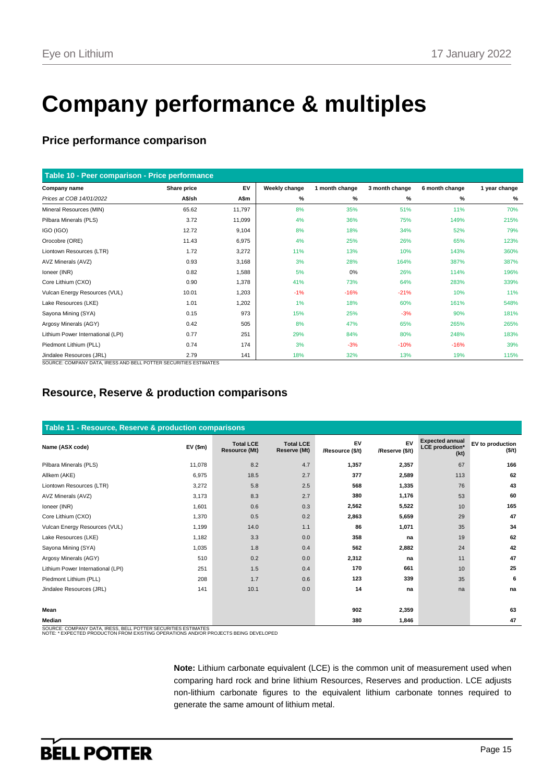# **Company performance & multiples**

## **Price performance comparison**

| Table 10 - Peer comparison - Price performance |             |        |               |                |                |                |               |
|------------------------------------------------|-------------|--------|---------------|----------------|----------------|----------------|---------------|
| Company name                                   | Share price | EV     | Weekly change | 1 month change | 3 month change | 6 month change | 1 year change |
| Prices at COB 14/01/2022                       | A\$/sh      | A\$m   | %             | %              | %              | ℅              | %             |
| Mineral Resources (MIN)                        | 65.62       | 11,797 | 8%            | 35%            | 51%            | 11%            | 70%           |
| Pilbara Minerals (PLS)                         | 3.72        | 11,099 | 4%            | 36%            | 75%            | 149%           | 215%          |
| IGO (IGO)                                      | 12.72       | 9,104  | 8%            | 18%            | 34%            | 52%            | 79%           |
| Orocobre (ORE)                                 | 11.43       | 6,975  | 4%            | 25%            | 26%            | 65%            | 123%          |
| Liontown Resources (LTR)                       | 1.72        | 3,272  | 11%           | 13%            | 10%            | 143%           | 360%          |
| AVZ Minerals (AVZ)                             | 0.93        | 3,168  | 3%            | 28%            | 164%           | 387%           | 387%          |
| Ioneer (INR)                                   | 0.82        | 1,588  | 5%            | 0%             | 26%            | 114%           | 196%          |
| Core Lithium (CXO)                             | 0.90        | 1,378  | 41%           | 73%            | 64%            | 283%           | 339%          |
| Vulcan Energy Resources (VUL)                  | 10.01       | 1,203  | $-1%$         | $-16%$         | $-21%$         | 10%            | 11%           |
| Lake Resources (LKE)                           | 1.01        | 1,202  | 1%            | 18%            | 60%            | 161%           | 548%          |
| Sayona Mining (SYA)                            | 0.15        | 973    | 15%           | 25%            | $-3%$          | 90%            | 181%          |
| Argosy Minerals (AGY)                          | 0.42        | 505    | 8%            | 47%            | 65%            | 265%           | 265%          |
| Lithium Power International (LPI)              | 0.77        | 251    | 29%           | 84%            | 80%            | 248%           | 183%          |
| Piedmont Lithium (PLL)                         | 0.74        | 174    | 3%            | $-3%$          | $-10%$         | $-16%$         | 39%           |
| Jindalee Resources (JRL)                       | 2.79        | 141    | 18%           | 32%            | 13%            | 19%            | 115%          |

SOURCE: COMPANY DATA, IRESS AND BELL POTTER SECURITIES ESTIMATES

## **Resource, Reserve & production comparisons**

| Table 11 - Resource, Reserve & production comparisons |               |                                          |                                  |                        |                       |                                                          |                            |  |  |  |
|-------------------------------------------------------|---------------|------------------------------------------|----------------------------------|------------------------|-----------------------|----------------------------------------------------------|----------------------------|--|--|--|
| Name (ASX code)                                       | $EV($ \$m $)$ | <b>Total LCE</b><br><b>Resource (Mt)</b> | <b>Total LCE</b><br>Reserve (Mt) | EV<br>/Resource (\$/t) | EV<br>/Reserve (\$/t) | <b>Expected annual</b><br><b>LCE</b> production*<br>(kt) | EV to production<br>(\$/t) |  |  |  |
| Pilbara Minerals (PLS)                                | 11,078        | 8.2                                      | 4.7                              | 1,357                  | 2,357                 | 67                                                       | 166                        |  |  |  |
| Allkem (AKE)                                          | 6,975         | 18.5                                     | 2.7                              | 377                    | 2,589                 | 113                                                      | 62                         |  |  |  |
| Liontown Resources (LTR)                              | 3,272         | 5.8                                      | 2.5                              | 568                    | 1,335                 | 76                                                       | 43                         |  |  |  |
| AVZ Minerals (AVZ)                                    | 3,173         | 8.3                                      | 2.7                              | 380                    | 1,176                 | 53                                                       | 60                         |  |  |  |
| Ioneer (INR)                                          | 1,601         | 0.6                                      | 0.3                              | 2,562                  | 5,522                 | 10                                                       | 165                        |  |  |  |
| Core Lithium (CXO)                                    | 1,370         | 0.5                                      | 0.2                              | 2,863                  | 5,659                 | 29                                                       | 47                         |  |  |  |
| Vulcan Energy Resources (VUL)                         | 1,199         | 14.0                                     | 1.1                              | 86                     | 1,071                 | 35                                                       | 34                         |  |  |  |
| Lake Resources (LKE)                                  | 1,182         | 3.3                                      | 0.0                              | 358                    | na                    | 19                                                       | 62                         |  |  |  |
| Sayona Mining (SYA)                                   | 1,035         | 1.8                                      | 0.4                              | 562                    | 2,882                 | 24                                                       | 42                         |  |  |  |
| Argosy Minerals (AGY)                                 | 510           | 0.2                                      | 0.0                              | 2,312                  | na                    | 11                                                       | 47                         |  |  |  |
| Lithium Power International (LPI)                     | 251           | 1.5                                      | 0.4                              | 170                    | 661                   | 10                                                       | 25                         |  |  |  |
| Piedmont Lithium (PLL)                                | 208           | 1.7                                      | 0.6                              | 123                    | 339                   | 35                                                       | 6                          |  |  |  |
| Jindalee Resources (JRL)                              | 141           | 10.1                                     | 0.0                              | 14                     | na                    | na                                                       | na                         |  |  |  |
|                                                       |               |                                          |                                  |                        |                       |                                                          |                            |  |  |  |
| Mean                                                  |               |                                          |                                  | 902                    | 2,359                 |                                                          | 63                         |  |  |  |
| Median                                                |               |                                          |                                  | 380                    | 1,846                 |                                                          | 47                         |  |  |  |

SOURCE: COMPANY DATA, IRESS, BELL POTTER SECURITIES ESTIMATES NOTE: \* EXPECTED PRODUCTON FROM EXISTING OPERATIONS AND/OR PROJECTS BEING DEVELOPED

**Note:** Lithium carbonate equivalent (LCE) is the common unit of measurement used when comparing hard rock and brine lithium Resources, Reserves and production. LCE adjusts non-lithium carbonate figures to the equivalent lithium carbonate tonnes required to generate the same amount of lithium metal.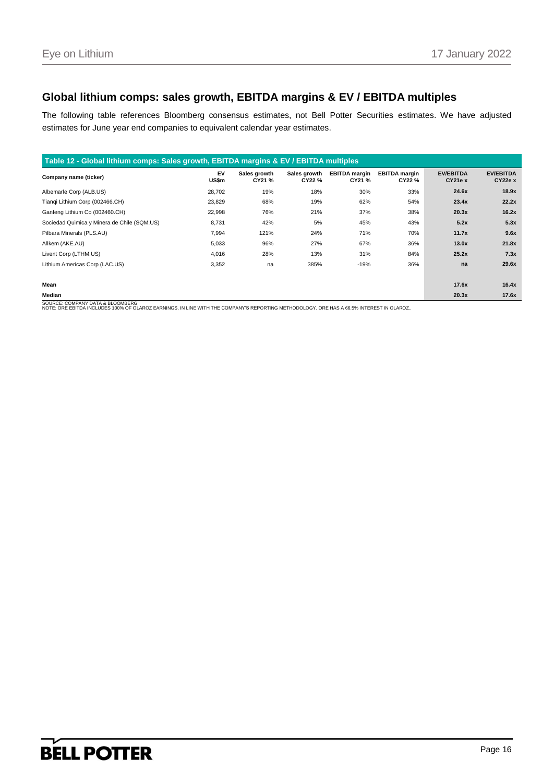## **Global lithium comps: sales growth, EBITDA margins & EV / EBITDA multiples**

The following table references Bloomberg consensus estimates, not Bell Potter Securities estimates. We have adjusted estimates for June year end companies to equivalent calendar year estimates.

| Table 12 - Global lithium comps: Sales growth, EBITDA margins & EV / EBITDA multiples |             |                        |                        |                                |                                |                            |                             |  |  |
|---------------------------------------------------------------------------------------|-------------|------------------------|------------------------|--------------------------------|--------------------------------|----------------------------|-----------------------------|--|--|
| Company name (ticker)                                                                 | EV<br>US\$m | Sales growth<br>CY21 % | Sales growth<br>CY22 % | <b>EBITDA</b> margin<br>CY21 % | <b>EBITDA</b> margin<br>CY22 % | <b>EV/EBITDA</b><br>CY21eX | <b>EV/EBITDA</b><br>CY22e X |  |  |
| Albemarle Corp (ALB.US)                                                               | 28,702      | 19%                    | 18%                    | 30%                            | 33%                            | 24.6x                      | 18.9x                       |  |  |
| Tiangi Lithium Corp (002466.CH)                                                       | 23,829      | 68%                    | 19%                    | 62%                            | 54%                            | 23.4x                      | 22.2x                       |  |  |
| Ganfeng Lithium Co (002460.CH)                                                        | 22,998      | 76%                    | 21%                    | 37%                            | 38%                            | 20.3x                      | 16.2x                       |  |  |
| Sociedad Quimica y Minera de Chile (SQM.US)                                           | 8,731       | 42%                    | 5%                     | 45%                            | 43%                            | 5.2x                       | 5.3x                        |  |  |
| Pilbara Minerals (PLS.AU)                                                             | 7,994       | 121%                   | 24%                    | 71%                            | 70%                            | 11.7x                      | 9.6x                        |  |  |
| Allkem (AKE.AU)                                                                       | 5,033       | 96%                    | 27%                    | 67%                            | 36%                            | 13.0x                      | 21.8x                       |  |  |
| Livent Corp (LTHM.US)                                                                 | 4,016       | 28%                    | 13%                    | 31%                            | 84%                            | 25.2x                      | 7.3x                        |  |  |
| Lithium Americas Corp (LAC.US)                                                        | 3,352       | na                     | 385%                   | $-19%$                         | 36%                            | na                         | 29.6x                       |  |  |
| Mean                                                                                  |             |                        |                        |                                |                                | 17.6x                      | 16.4x                       |  |  |
| Median                                                                                |             |                        |                        |                                |                                | 20.3x                      | 17.6x                       |  |  |
| SOURCE: COMPANY DATA & BLOOMBERG                                                      |             |                        |                        |                                |                                |                            |                             |  |  |

SOURCE: COMPANY DATA & BLOOMBERG<br>NOTE: ORE EBITDA INCLUDES 100% OF OLAROZ EARNINGS, IN LINE WITH THE COMPANY'S REPORTING METHODOLOGY. ORE HAS A 66.5% INTEREST IN OLAROZ.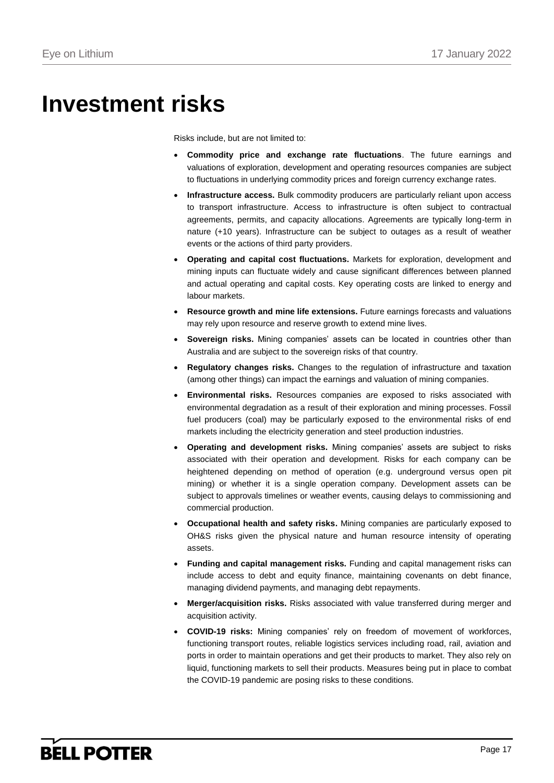# **Investment risks**

Risks include, but are not limited to:

- **Commodity price and exchange rate fluctuations**. The future earnings and valuations of exploration, development and operating resources companies are subject to fluctuations in underlying commodity prices and foreign currency exchange rates.
- **Infrastructure access.** Bulk commodity producers are particularly reliant upon access to transport infrastructure. Access to infrastructure is often subject to contractual agreements, permits, and capacity allocations. Agreements are typically long-term in nature (+10 years). Infrastructure can be subject to outages as a result of weather events or the actions of third party providers.
- **Operating and capital cost fluctuations.** Markets for exploration, development and mining inputs can fluctuate widely and cause significant differences between planned and actual operating and capital costs. Key operating costs are linked to energy and labour markets.
- **Resource growth and mine life extensions.** Future earnings forecasts and valuations may rely upon resource and reserve growth to extend mine lives.
- **Sovereign risks.** Mining companies' assets can be located in countries other than Australia and are subject to the sovereign risks of that country.
- **Regulatory changes risks.** Changes to the regulation of infrastructure and taxation (among other things) can impact the earnings and valuation of mining companies.
- **Environmental risks.** Resources companies are exposed to risks associated with environmental degradation as a result of their exploration and mining processes. Fossil fuel producers (coal) may be particularly exposed to the environmental risks of end markets including the electricity generation and steel production industries.
- **Operating and development risks.** Mining companies' assets are subject to risks associated with their operation and development. Risks for each company can be heightened depending on method of operation (e.g. underground versus open pit mining) or whether it is a single operation company. Development assets can be subject to approvals timelines or weather events, causing delays to commissioning and commercial production.
- **Occupational health and safety risks.** Mining companies are particularly exposed to OH&S risks given the physical nature and human resource intensity of operating assets.
- **Funding and capital management risks.** Funding and capital management risks can include access to debt and equity finance, maintaining covenants on debt finance, managing dividend payments, and managing debt repayments.
- **Merger/acquisition risks.** Risks associated with value transferred during merger and acquisition activity.
- **COVID-19 risks:** Mining companies' rely on freedom of movement of workforces, functioning transport routes, reliable logistics services including road, rail, aviation and ports in order to maintain operations and get their products to market. They also rely on liquid, functioning markets to sell their products. Measures being put in place to combat the COVID-19 pandemic are posing risks to these conditions.